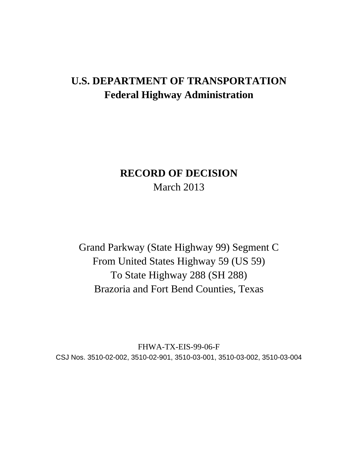# **U.S. DEPARTMENT OF TRANSPORTATION Federal Highway Administration**

## **RECORD OF DECISION**  March 2013

Grand Parkway (State Highway 99) Segment C From United States Highway 59 (US 59) To State Highway 288 (SH 288) Brazoria and Fort Bend Counties, Texas

FHWA-TX-EIS-99-06-F CSJ Nos. 3510-02-002, 3510-02-901, 3510-03-001, 3510-03-002, 3510-03-004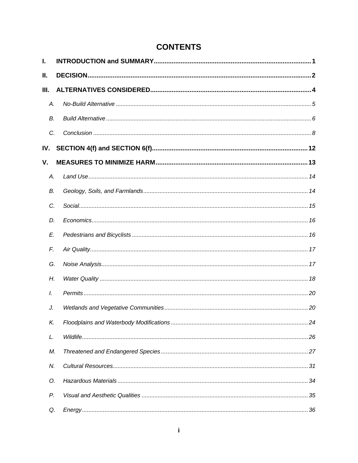## **CONTENTS**

| I.            |  |
|---------------|--|
| Ш.            |  |
| Ш.            |  |
| А.            |  |
| В.            |  |
| C.            |  |
| IV.           |  |
| V.            |  |
| Α.            |  |
| В.            |  |
| C.            |  |
| D.            |  |
| E.            |  |
| F.            |  |
| G.            |  |
| Н.            |  |
| $\mathcal{L}$ |  |
| J.            |  |
| Κ.            |  |
| L.            |  |
| М.            |  |
| N.            |  |
| O.            |  |
| Р.            |  |
| Q.            |  |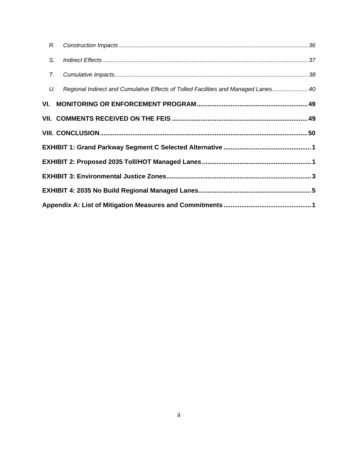| R.     |                                                                                    |  |
|--------|------------------------------------------------------------------------------------|--|
| S.     |                                                                                    |  |
| $\tau$ |                                                                                    |  |
| U.     | Regional Indirect and Cumulative Effects of Tolled Facilities and Managed Lanes 40 |  |
|        |                                                                                    |  |
|        |                                                                                    |  |
|        |                                                                                    |  |
|        |                                                                                    |  |
|        |                                                                                    |  |
|        |                                                                                    |  |
|        |                                                                                    |  |
|        |                                                                                    |  |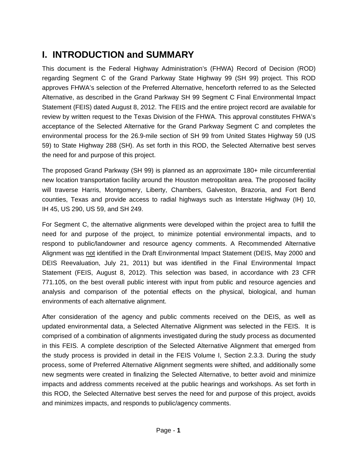# **I. INTRODUCTION and SUMMARY**

This document is the Federal Highway Administration's (FHWA) Record of Decision (ROD) regarding Segment C of the Grand Parkway State Highway 99 (SH 99) project. This ROD approves FHWA's selection of the Preferred Alternative, henceforth referred to as the Selected Alternative, as described in the Grand Parkway SH 99 Segment C Final Environmental Impact Statement (FEIS) dated August 8, 2012. The FEIS and the entire project record are available for review by written request to the Texas Division of the FHWA. This approval constitutes FHWA's acceptance of the Selected Alternative for the Grand Parkway Segment C and completes the environmental process for the 26.9-mile section of SH 99 from United States Highway 59 (US 59) to State Highway 288 (SH). As set forth in this ROD, the Selected Alternative best serves the need for and purpose of this project.

The proposed Grand Parkway (SH 99) is planned as an approximate 180+ mile circumferential new location transportation facility around the Houston metropolitan area. The proposed facility will traverse Harris, Montgomery, Liberty, Chambers, Galveston, Brazoria, and Fort Bend counties, Texas and provide access to radial highways such as Interstate Highway (IH) 10, IH 45, US 290, US 59, and SH 249.

For Segment C, the alternative alignments were developed within the project area to fulfill the need for and purpose of the project, to minimize potential environmental impacts, and to respond to public/landowner and resource agency comments. A Recommended Alternative Alignment was not identified in the Draft Environmental Impact Statement (DEIS, May 2000 and DEIS Reevaluation, July 21, 2011) but was identified in the Final Environmental Impact Statement (FEIS, August 8, 2012). This selection was based, in accordance with 23 CFR 771.105, on the best overall public interest with input from public and resource agencies and analysis and comparison of the potential effects on the physical, biological, and human environments of each alternative alignment.

After consideration of the agency and public comments received on the DEIS, as well as updated environmental data, a Selected Alternative Alignment was selected in the FEIS. It is comprised of a combination of alignments investigated during the study process as documented in this FEIS. A complete description of the Selected Alternative Alignment that emerged from the study process is provided in detail in the FEIS Volume I, Section 2.3.3. During the study process, some of Preferred Alternative Alignment segments were shifted, and additionally some new segments were created in finalizing the Selected Alternative, to better avoid and minimize impacts and address comments received at the public hearings and workshops. As set forth in this ROD, the Selected Alternative best serves the need for and purpose of this project, avoids and minimizes impacts, and responds to public/agency comments.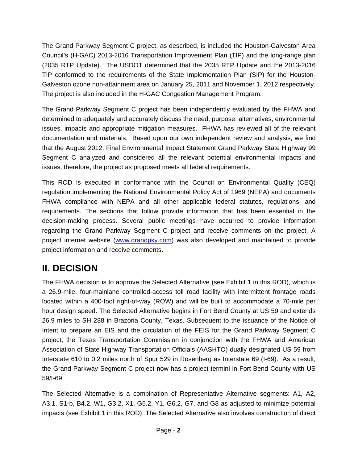The Grand Parkway Segment C project, as described, is included the Houston-Galveston Area Council's (H-GAC) 2013-2016 Transportation Improvement Plan (TIP) and the long-range plan (2035 RTP Update). The USDOT determined that the 2035 RTP Update and the 2013-2016 TIP conformed to the requirements of the State Implementation Plan (SIP) for the Houston-Galveston ozone non-attainment area on January 25, 2011 and November 1, 2012 respectively. The project is also included in the H-GAC Congestion Management Program.

The Grand Parkway Segment C project has been independently evaluated by the FHWA and determined to adequately and accurately discuss the need, purpose, alternatives, environmental issues, impacts and appropriate mitigation measures. FHWA has reviewed all of the relevant documentation and materials. Based upon our own independent review and analysis, we find that the August 2012, Final Environmental Impact Statement Grand Parkway State Highway 99 Segment C analyzed and considered all the relevant potential environmental impacts and issues; therefore, the project as proposed meets all federal requirements.

This ROD is executed in conformance with the Council on Environmental Quality (CEQ) regulation implementing the National Environmental Policy Act of 1969 (NEPA) and documents FHWA compliance with NEPA and all other applicable federal statutes, regulations, and requirements. The sections that follow provide information that has been essential in the decision-making process. Several public meetings have occurred to provide information regarding the Grand Parkway Segment C project and receive comments on the project. A project internet website (www.grandpky.com) was also developed and maintained to provide project information and receive comments.

# **II. DECISION**

The FHWA decision is to approve the Selected Alternative (see Exhibit 1 in this ROD), which is a 26.9-mile, four-mainlane controlled-access toll road facility with intermittent frontage roads located within a 400-foot right-of-way (ROW) and will be built to accommodate a 70-mile per hour design speed. The Selected Alternative begins in Fort Bend County at US 59 and extends 26.9 miles to SH 288 in Brazoria County, Texas. Subsequent to the issuance of the Notice of Intent to prepare an EIS and the circulation of the FEIS for the Grand Parkway Segment C project, the Texas Transportation Commission in conjunction with the FHWA and American Association of State Highway Transportation Officials (AASHTO) dually designated US 59 from Interstate 610 to 0.2 miles north of Spur 529 in Rosenberg as Interstate 69 (I-69). As a result, the Grand Parkway Segment C project now has a project termini in Fort Bend County with US 59/I-69.

The Selected Alternative is a combination of Representative Alternative segments: A1, A2, A3.1, S1-b, B4.2, W1, G3.2, X1, G5.2, Y1, G6.2, G7, and G8 as adjusted to minimize potential impacts (see Exhibit 1 in this ROD). The Selected Alternative also involves construction of direct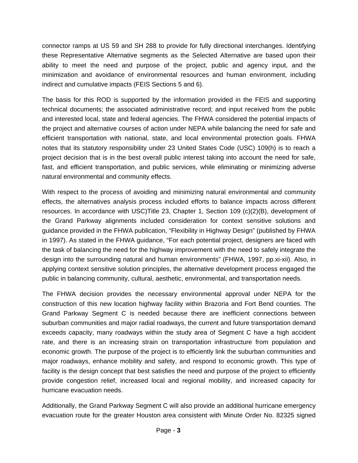connector ramps at US 59 and SH 288 to provide for fully directional interchanges. Identifying these Representative Alternative segments as the Selected Alternative are based upon their ability to meet the need and purpose of the project, public and agency input, and the minimization and avoidance of environmental resources and human environment, including indirect and cumulative impacts (FEIS Sections 5 and 6).

The basis for this ROD is supported by the information provided in the FEIS and supporting technical documents; the associated administrative record; and input received from the public and interested local, state and federal agencies. The FHWA considered the potential impacts of the project and alternative courses of action under NEPA while balancing the need for safe and efficient transportation with national, state, and local environmental protection goals. FHWA notes that its statutory responsibility under 23 United States Code (USC) 109(h) is to reach a project decision that is in the best overall public interest taking into account the need for safe, fast, and efficient transportation, and public services, while eliminating or minimizing adverse natural environmental and community effects.

With respect to the process of avoiding and minimizing natural environmental and community effects, the alternatives analysis process included efforts to balance impacts across different resources. In accordance with USC)Title 23, Chapter 1, Section 109 (c)(2)(B), development of the Grand Parkway alignments included consideration for context sensitive solutions and guidance provided in the FHWA publication, "Flexibility in Highway Design" (published by FHWA in 1997). As stated in the FHWA guidance, "For each potential project, designers are faced with the task of balancing the need for the highway improvement with the need to safely integrate the design into the surrounding natural and human environments" (FHWA, 1997, pp.xi-xii). Also, in applying context sensitive solution principles, the alternative development process engaged the public in balancing community, cultural, aesthetic, environmental, and transportation needs.

The FHWA decision provides the necessary environmental approval under NEPA for the construction of this new location highway facility within Brazoria and Fort Bend counties. The Grand Parkway Segment C is needed because there are inefficient connections between suburban communities and major radial roadways, the current and future transportation demand exceeds capacity, many roadways within the study area of Segment C have a high accident rate, and there is an increasing strain on transportation infrastructure from population and economic growth. The purpose of the project is to efficiently link the suburban communities and major roadways, enhance mobility and safety, and respond to economic growth. This type of facility is the design concept that best satisfies the need and purpose of the project to efficiently provide congestion relief, increased local and regional mobility, and increased capacity for hurricane evacuation needs.

Additionally, the Grand Parkway Segment C will also provide an additional hurricane emergency evacuation route for the greater Houston area consistent with Minute Order No. 82325 signed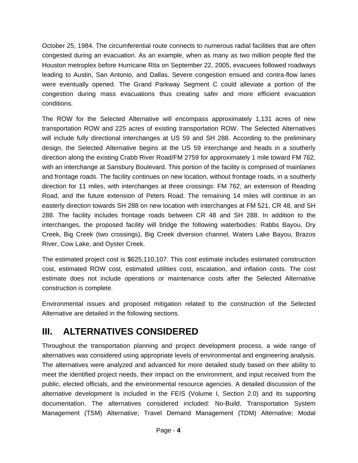October 25, 1984. The circumferential route connects to numerous radial facilities that are often congested during an evacuation. As an example, when as many as two million people fled the Houston metroplex before Hurricane Rita on September 22, 2005, evacuees followed roadways leading to Austin, San Antonio, and Dallas. Severe congestion ensued and contra-flow lanes were eventually opened. The Grand Parkway Segment C could alleviate a portion of the congestion during mass evacuations thus creating safer and more efficient evacuation conditions.

The ROW for the Selected Alternative will encompass approximately 1,131 acres of new transportation ROW and 225 acres of existing transportation ROW. The Selected Alternatives will include fully directional interchanges at US 59 and SH 288. According to the preliminary design, the Selected Alternative begins at the US 59 interchange and heads in a southerly direction along the existing Crabb River Road/FM 2759 for approximately 1 mile toward FM 762, with an interchange at Sansbury Boulevard. This portion of the facility is comprised of mainlanes and frontage roads. The facility continues on new location, without frontage roads, in a southerly direction for 11 miles, with interchanges at three crossings: FM 762, an extension of Reading Road, and the future extension of Peters Road. The remaining 14 miles will continue in an easterly direction towards SH 288 on new location with interchanges at FM 521, CR 48, and SH 288. The facility includes frontage roads between CR 48 and SH 288. In addition to the interchanges, the proposed facility will bridge the following waterbodies: Rabbs Bayou, Dry Creek, Big Creek (two crossings), Big Creek diversion channel, Waters Lake Bayou, Brazos River, Cow Lake, and Oyster Creek.

The estimated project cost is \$625,110,107. This cost estimate includes estimated construction cost, estimated ROW cost, estimated utilities cost, escalation, and inflation costs. The cost estimate does not include operations or maintenance costs after the Selected Alternative construction is complete.

Environmental issues and proposed mitigation related to the construction of the Selected Alternative are detailed in the following sections.

## **III. ALTERNATIVES CONSIDERED**

Throughout the transportation planning and project development process, a wide range of alternatives was considered using appropriate levels of environmental and engineering analysis. The alternatives were analyzed and advanced for more detailed study based on their ability to meet the identified project needs, their impact on the environment, and input received from the public, elected officials, and the environmental resource agencies. A detailed discussion of the alternative development is included in the FEIS (Volume I, Section 2.0) and its supporting documentation. The alternatives considered included: No-Build, Transportation System Management (TSM) Alternative; Travel Demand Management (TDM) Alternative; Modal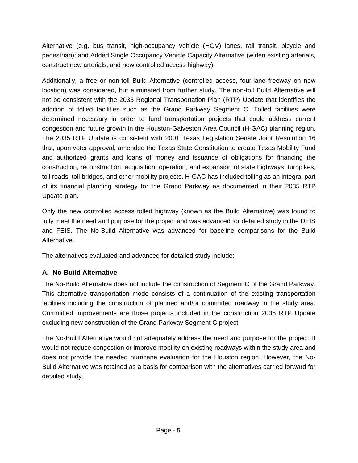Alternative (e.g. bus transit, high-occupancy vehicle (HOV) lanes, rail transit, bicycle and pedestrian); and Added Single Occupancy Vehicle Capacity Alternative (widen existing arterials, construct new arterials, and new controlled access highway).

Additionally, a free or non-toll Build Alternative (controlled access, four-lane freeway on new location) was considered, but eliminated from further study. The non-toll Build Alternative will not be consistent with the 2035 Regional Transportation Plan (RTP) Update that identifies the addition of tolled facilities such as the Grand Parkway Segment C. Tolled facilities were determined necessary in order to fund transportation projects that could address current congestion and future growth in the Houston-Galveston Area Council (H-GAC) planning region. The 2035 RTP Update is consistent with 2001 Texas Legislation Senate Joint Resolution 16 that, upon voter approval, amended the Texas State Constitution to create Texas Mobility Fund and authorized grants and loans of money and issuance of obligations for financing the construction, reconstruction, acquisition, operation, and expansion of state highways, turnpikes, toll roads, toll bridges, and other mobility projects. H-GAC has included tolling as an integral part of its financial planning strategy for the Grand Parkway as documented in their 2035 RTP Update plan.

Only the new controlled access tolled highway (known as the Build Alternative) was found to fully meet the need and purpose for the project and was advanced for detailed study in the DEIS and FEIS. The No-Build Alternative was advanced for baseline comparisons for the Build Alternative.

The alternatives evaluated and advanced for detailed study include:

## **A. No-Build Alternative**

The No-Build Alternative does not include the construction of Segment C of the Grand Parkway. This alternative transportation mode consists of a continuation of the existing transportation facilities including the construction of planned and/or committed roadway in the study area. Committed improvements are those projects included in the construction 2035 RTP Update excluding new construction of the Grand Parkway Segment C project.

The No-Build Alternative would not adequately address the need and purpose for the project. It would not reduce congestion or improve mobility on existing roadways within the study area and does not provide the needed hurricane evaluation for the Houston region. However, the No-Build Alternative was retained as a basis for comparison with the alternatives carried forward for detailed study.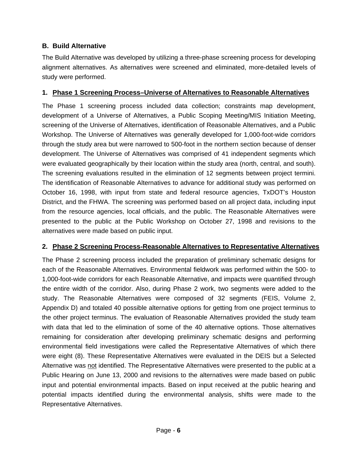#### **B. Build Alternative**

The Build Alternative was developed by utilizing a three-phase screening process for developing alignment alternatives. As alternatives were screened and eliminated, more-detailed levels of study were performed.

#### **1. Phase 1 Screening Process–Universe of Alternatives to Reasonable Alternatives**

The Phase 1 screening process included data collection; constraints map development, development of a Universe of Alternatives, a Public Scoping Meeting/MIS Initiation Meeting, screening of the Universe of Alternatives, identification of Reasonable Alternatives, and a Public Workshop. The Universe of Alternatives was generally developed for 1,000-foot-wide corridors through the study area but were narrowed to 500-foot in the northern section because of denser development. The Universe of Alternatives was comprised of 41 independent segments which were evaluated geographically by their location within the study area (north, central, and south). The screening evaluations resulted in the elimination of 12 segments between project termini. The identification of Reasonable Alternatives to advance for additional study was performed on October 16, 1998, with input from state and federal resource agencies, TxDOT's Houston District, and the FHWA. The screening was performed based on all project data, including input from the resource agencies, local officials, and the public. The Reasonable Alternatives were presented to the public at the Public Workshop on October 27, 1998 and revisions to the alternatives were made based on public input.

## **2. Phase 2 Screening Process-Reasonable Alternatives to Representative Alternatives**

The Phase 2 screening process included the preparation of preliminary schematic designs for each of the Reasonable Alternatives. Environmental fieldwork was performed within the 500- to 1,000-foot-wide corridors for each Reasonable Alternative, and impacts were quantified through the entire width of the corridor. Also, during Phase 2 work, two segments were added to the study. The Reasonable Alternatives were composed of 32 segments (FEIS, Volume 2, Appendix D) and totaled 40 possible alternative options for getting from one project terminus to the other project terminus. The evaluation of Reasonable Alternatives provided the study team with data that led to the elimination of some of the 40 alternative options. Those alternatives remaining for consideration after developing preliminary schematic designs and performing environmental field investigations were called the Representative Alternatives of which there were eight (8). These Representative Alternatives were evaluated in the DEIS but a Selected Alternative was not identified. The Representative Alternatives were presented to the public at a Public Hearing on June 13, 2000 and revisions to the alternatives were made based on public input and potential environmental impacts. Based on input received at the public hearing and potential impacts identified during the environmental analysis, shifts were made to the Representative Alternatives.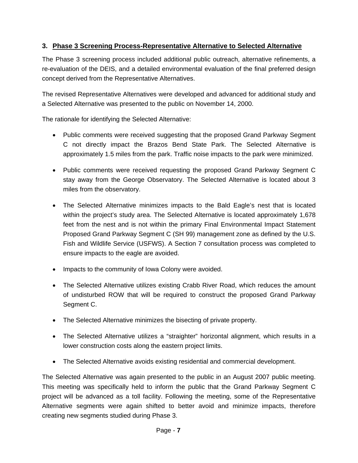## **3. Phase 3 Screening Process-Representative Alternative to Selected Alternative**

The Phase 3 screening process included additional public outreach, alternative refinements, a re-evaluation of the DEIS, and a detailed environmental evaluation of the final preferred design concept derived from the Representative Alternatives.

The revised Representative Alternatives were developed and advanced for additional study and a Selected Alternative was presented to the public on November 14, 2000.

The rationale for identifying the Selected Alternative:

- Public comments were received suggesting that the proposed Grand Parkway Segment C not directly impact the Brazos Bend State Park. The Selected Alternative is approximately 1.5 miles from the park. Traffic noise impacts to the park were minimized.
- Public comments were received requesting the proposed Grand Parkway Segment C stay away from the George Observatory. The Selected Alternative is located about 3 miles from the observatory.
- The Selected Alternative minimizes impacts to the Bald Eagle's nest that is located within the project's study area. The Selected Alternative is located approximately 1,678 feet from the nest and is not within the primary Final Environmental Impact Statement Proposed Grand Parkway Segment C (SH 99) management zone as defined by the U.S. Fish and Wildlife Service (USFWS). A Section 7 consultation process was completed to ensure impacts to the eagle are avoided.
- Impacts to the community of Iowa Colony were avoided.
- The Selected Alternative utilizes existing Crabb River Road, which reduces the amount of undisturbed ROW that will be required to construct the proposed Grand Parkway Segment C.
- The Selected Alternative minimizes the bisecting of private property.
- The Selected Alternative utilizes a "straighter" horizontal alignment, which results in a lower construction costs along the eastern project limits.
- The Selected Alternative avoids existing residential and commercial development.

The Selected Alternative was again presented to the public in an August 2007 public meeting. This meeting was specifically held to inform the public that the Grand Parkway Segment C project will be advanced as a toll facility. Following the meeting, some of the Representative Alternative segments were again shifted to better avoid and minimize impacts, therefore creating new segments studied during Phase 3.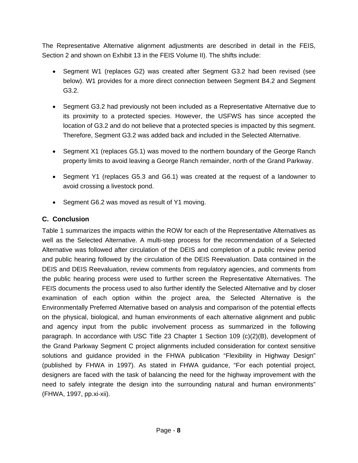The Representative Alternative alignment adjustments are described in detail in the FEIS, Section 2 and shown on Exhibit 13 in the FEIS Volume II). The shifts include:

- Segment W1 (replaces G2) was created after Segment G3.2 had been revised (see below). W1 provides for a more direct connection between Segment B4.2 and Segment G3.2.
- Segment G3.2 had previously not been included as a Representative Alternative due to its proximity to a protected species. However, the USFWS has since accepted the location of G3.2 and do not believe that a protected species is impacted by this segment. Therefore, Segment G3.2 was added back and included in the Selected Alternative.
- Segment X1 (replaces G5.1) was moved to the northern boundary of the George Ranch property limits to avoid leaving a George Ranch remainder, north of the Grand Parkway.
- Segment Y1 (replaces G5.3 and G6.1) was created at the request of a landowner to avoid crossing a livestock pond.
- Segment G6.2 was moved as result of Y1 moving.

## **C. Conclusion**

Table 1 summarizes the impacts within the ROW for each of the Representative Alternatives as well as the Selected Alternative. A multi-step process for the recommendation of a Selected Alternative was followed after circulation of the DEIS and completion of a public review period and public hearing followed by the circulation of the DEIS Reevaluation. Data contained in the DEIS and DEIS Reevaluation, review comments from regulatory agencies, and comments from the public hearing process were used to further screen the Representative Alternatives. The FEIS documents the process used to also further identify the Selected Alternative and by closer examination of each option within the project area, the Selected Alternative is the Environmentally Preferred Alternative based on analysis and comparison of the potential effects on the physical, biological, and human environments of each alternative alignment and public and agency input from the public involvement process as summarized in the following paragraph. In accordance with USC Title 23 Chapter 1 Section 109 (c)(2)(B), development of the Grand Parkway Segment C project alignments included consideration for context sensitive solutions and guidance provided in the FHWA publication "Flexibility in Highway Design" (published by FHWA in 1997). As stated in FHWA guidance, "For each potential project, designers are faced with the task of balancing the need for the highway improvement with the need to safely integrate the design into the surrounding natural and human environments" (FHWA, 1997, pp.xi-xii).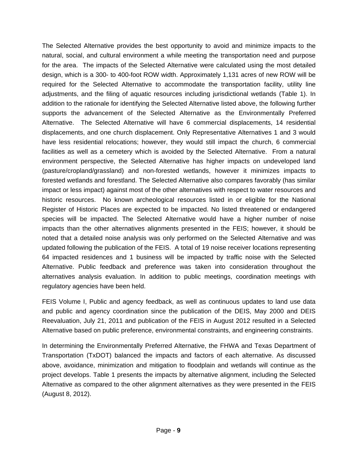The Selected Alternative provides the best opportunity to avoid and minimize impacts to the natural, social, and cultural environment a while meeting the transportation need and purpose for the area. The impacts of the Selected Alternative were calculated using the most detailed design, which is a 300- to 400-foot ROW width. Approximately 1,131 acres of new ROW will be required for the Selected Alternative to accommodate the transportation facility, utility line adjustments, and the filing of aquatic resources including jurisdictional wetlands (Table 1). In addition to the rationale for identifying the Selected Alternative listed above, the following further supports the advancement of the Selected Alternative as the Environmentally Preferred Alternative. The Selected Alternative will have 6 commercial displacements, 14 residential displacements, and one church displacement. Only Representative Alternatives 1 and 3 would have less residential relocations; however, they would still impact the church, 6 commercial facilities as well as a cemetery which is avoided by the Selected Alternative. From a natural environment perspective, the Selected Alternative has higher impacts on undeveloped land (pasture/cropland/grassland) and non-forested wetlands, however it minimizes impacts to forested wetlands and forestland. The Selected Alternative also compares favorably (has similar impact or less impact) against most of the other alternatives with respect to water resources and historic resources. No known archeological resources listed in or eligible for the National Register of Historic Places are expected to be impacted. No listed threatened or endangered species will be impacted. The Selected Alternative would have a higher number of noise impacts than the other alternatives alignments presented in the FEIS; however, it should be noted that a detailed noise analysis was only performed on the Selected Alternative and was updated following the publication of the FEIS. A total of 19 noise receiver locations representing 64 impacted residences and 1 business will be impacted by traffic noise with the Selected Alternative. Public feedback and preference was taken into consideration throughout the alternatives analysis evaluation. In addition to public meetings, coordination meetings with regulatory agencies have been held.

FEIS Volume I, Public and agency feedback, as well as continuous updates to land use data and public and agency coordination since the publication of the DEIS, May 2000 and DEIS Reevaluation, July 21, 2011 and publication of the FEIS in August 2012 resulted in a Selected Alternative based on public preference, environmental constraints, and engineering constraints.

In determining the Environmentally Preferred Alternative, the FHWA and Texas Department of Transportation (TxDOT) balanced the impacts and factors of each alternative. As discussed above, avoidance, minimization and mitigation to floodplain and wetlands will continue as the project develops. Table 1 presents the impacts by alternative alignment, including the Selected Alternative as compared to the other alignment alternatives as they were presented in the FEIS (August 8, 2012).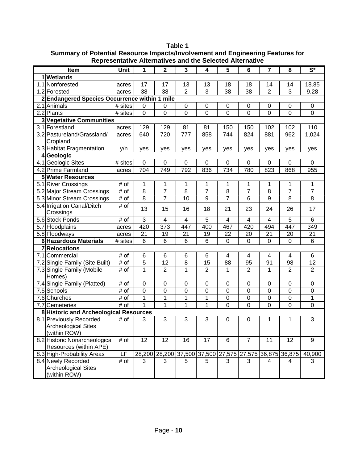|            | Item                                                             | Unit                  | 1                | $\overline{2}$                                          | 3                       | 4               | 5                | $6\phantom{1}$          | $\overline{\mathbf{r}}$ | 8                | $\overline{\mathbf{S}^*}$ |
|------------|------------------------------------------------------------------|-----------------------|------------------|---------------------------------------------------------|-------------------------|-----------------|------------------|-------------------------|-------------------------|------------------|---------------------------|
| 1 Wetlands |                                                                  |                       |                  |                                                         |                         |                 |                  |                         |                         |                  |                           |
|            | 1.1 Nonforested                                                  | acres                 | 17               | 17                                                      | 13                      | 13              | 18               | 18                      | 14                      | 14               | 18.85                     |
|            | 1.2 Forested                                                     | acres                 | 38               | 38                                                      | $\overline{2}$          | 3               | 38               | 38                      | $\overline{2}$          | 3                | 9.28                      |
|            | 2 Endangered Species Occurrence within 1 mile                    |                       |                  |                                                         |                         |                 |                  |                         |                         |                  |                           |
|            | 2.1 Animals                                                      | # sites               | $\mathbf 0$      | 0                                                       | 0                       | $\mathbf 0$     | 0                | 0                       | 0                       | 0                | $\mathbf 0$               |
|            | 2.2 Plants                                                       | $\overline{\#}$ sites | $\mathbf 0$      | 0                                                       | $\overline{0}$          | 0               | 0                | $\overline{0}$          | $\overline{0}$          | 0                | $\mathbf 0$               |
|            | 3 Vegetative Communities                                         |                       |                  |                                                         |                         |                 |                  |                         |                         |                  |                           |
|            | 3.1 Forestland                                                   | acres                 | 129              | 129                                                     | 81                      | 81              | 150              | 150                     | 102                     | 102              | 110                       |
|            | 3.2 Pastureland/Grassland/<br>Cropland                           | acres                 | 640              | 720                                                     | 777                     | 858             | 744              | 824                     | 881                     | 962              | 1,024                     |
|            | 3.3 Habitat Fragmentation                                        | y/n                   | yes              | yes                                                     | yes                     | yes             | yes              | yes                     | yes                     | yes              | yes                       |
|            | 4Geologic                                                        |                       |                  |                                                         |                         |                 |                  |                         |                         |                  |                           |
|            | 4.1 Geologic Sites                                               | # sites               | $\mathbf 0$      | $\mathbf 0$                                             | 0                       | 0               | 0                | 0                       | 0                       | 0                | $\Omega$                  |
|            | 4.2 Prime Farmland                                               | acres                 | 704              | $\overline{749}$                                        | 792                     | 836             | 734              | 780                     | 823                     | 868              | 955                       |
|            | <b>5 Water Resources</b>                                         |                       |                  |                                                         |                         |                 |                  |                         |                         |                  |                           |
|            | 5.1 River Crossings                                              | # of                  | $\mathbf 1$      | 1                                                       | 1                       | $\mathbf 1$     | 1                | 1                       | 1                       | 1                | 1                         |
|            | 5.2 Major Stream Crossings                                       | # of                  | $\overline{8}$   | $\overline{7}$                                          | $\overline{8}$          | $\overline{7}$  | $\overline{8}$   | $\overline{7}$          | $\overline{8}$          | $\overline{7}$   | $\overline{7}$            |
|            | 5.3 Minor Stream Crossings                                       | # of                  | $\overline{8}$   | $\overline{7}$                                          | 10                      | $\overline{9}$  | $\overline{7}$   | 6                       | $\overline{9}$          | 8                | $\overline{8}$            |
|            | 5.4 Irrigation Canal/Ditch<br>Crossings                          | # of                  | 13               | 15                                                      | 16                      | 18              | 21               | 23                      | 24                      | 26               | 17                        |
|            | 5.6 Stock Ponds                                                  | # of                  | 3                | 4                                                       | $\overline{\mathbf{4}}$ | 5               | 4                | $\overline{\mathbf{4}}$ | $\overline{4}$          | 5                | $6\phantom{1}$            |
|            | 5.7 Floodplains                                                  | acres                 | 420              | 373                                                     | 447                     | 400             | 467              | 420                     | 494                     | 447              | 349                       |
|            | 5.8 Floodways                                                    | acres                 | 21               | 19                                                      | 21                      | 19              | 22               | 20                      | 21                      | 20               | $\overline{21}$           |
|            | <b>6 Hazardous Materials</b>                                     | # sites               | $6\phantom{1}6$  | $6\phantom{1}6$                                         | 6                       | $6\phantom{1}6$ | $\boldsymbol{0}$ | $\mathbf 0$             | $\mathbf 0$             | $\mathbf 0$      | $6\phantom{1}$            |
|            | 7 Relocations                                                    |                       |                  |                                                         |                         |                 |                  |                         |                         |                  |                           |
|            | 7.1 Commercial                                                   | # of                  | 6                | 6                                                       | 6                       | 6               | 4                | $\overline{4}$          | 4                       | $\overline{4}$   | $\,6$                     |
|            | 7.2 Single Family (Site Built)                                   | # of                  | $\sqrt{5}$       | 12                                                      | $\overline{8}$          | 15              | 88               | 95                      | 91                      | 98               | 12                        |
|            | 7.3 Single Family (Mobile                                        | # of                  | 1                | $\overline{2}$                                          | $\mathbf{1}$            | $\overline{2}$  | 1                | $\overline{2}$          | 1                       | 2                | 2                         |
|            | Homes)                                                           |                       |                  |                                                         |                         |                 |                  |                         |                         |                  |                           |
|            | 7.4 Single Family (Platted)                                      | # of                  | $\boldsymbol{0}$ | $\mathbf 0$                                             | $\boldsymbol{0}$        | $\mathbf 0$     | $\pmb{0}$        | $\boldsymbol{0}$        | $\mathbf 0$             | $\pmb{0}$        | $\pmb{0}$                 |
|            | 7.5 Schools                                                      | # of                  | $\mathbf 0$      | 0                                                       | 0                       | 0               | 0                | $\mathbf 0$             | 0                       | $\mathbf 0$      | 0                         |
|            | $\overline{7.6}$ Churches                                        | # of                  | 1                | 1                                                       | $\mathbf 1$             | 1               | 0                | $\boldsymbol{0}$        | $\mathbf 0$             | $\boldsymbol{0}$ | 1                         |
|            | 7.7 Cemeteries                                                   | # of                  | 1                | 1                                                       | $\overline{1}$          | 1               | $\mathbf 0$      | $\overline{0}$          | $\overline{0}$          | 0                | $\mathbf 0$               |
|            | 8 Historic and Archeological Resources                           |                       |                  |                                                         |                         |                 |                  |                         |                         |                  |                           |
|            | 8.1 Previously Recorded<br>Archeological Sites                   | # of                  | 3                | 3                                                       | 3                       | 3               | 0                | $\mathbf 0$             | 1                       | 1                | $\overline{3}$            |
|            | (within ROW)<br>8.2 Historic Nonarcheological                    | # of                  | 12               | 12                                                      | 16                      | 17              | 6                | $\overline{7}$          | 11                      | 12               | 9                         |
|            | Resources (within APE)                                           |                       |                  |                                                         |                         |                 |                  |                         |                         |                  |                           |
|            | 8.3 High-Probability Areas                                       | LF                    |                  | 28,200 28,200 37,500 37,500 27,575 27,575 36,875 36,875 |                         |                 |                  |                         |                         |                  | 40,900                    |
|            | 8.4 Newly Recorded<br><b>Archeological Sites</b><br>(within ROW) | # of                  | 3                | 3                                                       | 5                       | 5               | 3                | 3                       | 4                       | 4                | 3                         |

**Table 1 Summary of Potential Resource Impacts/Involvement and Engineering Features for Representative Alternatives and the Selected Alternative**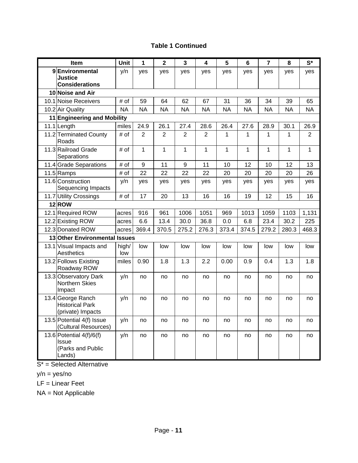#### **Table 1 Continued**

| Item                                                               | Unit         | 1              | $\overline{\mathbf{2}}$ | $\overline{\mathbf{3}}$ | 4            | 5         | $6\phantom{1}$ | $\overline{7}$ | 8         | $S^*$     |
|--------------------------------------------------------------------|--------------|----------------|-------------------------|-------------------------|--------------|-----------|----------------|----------------|-----------|-----------|
| 9Environmental<br>Justice<br><b>Considerations</b>                 | y/n          | yes            | yes                     | yes                     | yes          | yes       | yes            | yes            | yes       | yes       |
| 10 Noise and Air                                                   |              |                |                         |                         |              |           |                |                |           |           |
| 10.1 Noise Receivers                                               | # of         | 59             | 64                      | 62                      | 67           | 31        | 36             | 34             | 39        | 65        |
| 10.2 Air Quality                                                   | <b>NA</b>    | <b>NA</b>      | <b>NA</b>               | <b>NA</b>               | <b>NA</b>    | <b>NA</b> | <b>NA</b>      | <b>NA</b>      | <b>NA</b> | <b>NA</b> |
| 11 Engineering and Mobility                                        |              |                |                         |                         |              |           |                |                |           |           |
| 11.1 Length                                                        | miles        | 24.9           | 26.1                    | 27.4                    | 28.6         | 26.4      | 27.6           | 28.9           | 30.1      | 26.9      |
| 11.2 Terminated County<br>Roads                                    | # of         | $\overline{2}$ | $\overline{2}$          | $\overline{2}$          | 2            | 1         | 1              | 1              | 1         | 2         |
| 11.3 Railroad Grade<br>Separations                                 | # of         | $\mathbf{1}$   | $\mathbf{1}$            | $\mathbf{1}$            | $\mathbf{1}$ | 1         | $\mathbf{1}$   | 1              | 1         | 1         |
| 11.4 Grade Separations                                             | # of         | 9              | 11                      | 9                       | 11           | 10        | 12             | 10             | 12        | 13        |
| $11.5$ Ramps                                                       | # of         | 22             | 22                      | 22                      | 22           | 20        | 20             | 20             | 20        | 26        |
| 11.6 Construction<br>Sequencing Impacts                            | y/n          | yes            | yes                     | yes                     | yes          | yes       | yes            | yes            | yes       | yes       |
| 11.7 Utility Crossings                                             | # of         | 17             | 20                      | 13                      | 16           | 16        | 19             | 12             | 15        | 16        |
| 12ROW                                                              |              |                |                         |                         |              |           |                |                |           |           |
| 12.1 Required ROW                                                  | acres        | 916            | 961                     | 1006                    | 1051         | 969       | 1013           | 1059           | 1103      | 1,131     |
| 12.2 Existing ROW                                                  | acres        | 6.6            | 13.4                    | 30.0                    | 36.8         | 0.0       | 6.8            | 23.4           | 30.2      | 225       |
| 12.3 Donated ROW                                                   | acres        | 369.4          | 370.5                   | 275.2                   | 276.3        | 373.4     | 374.5          | 279.2          | 280.3     | 468.3     |
| 13 Other Environmental Issues                                      |              |                |                         |                         |              |           |                |                |           |           |
| 13.1 Visual Impacts and<br>Aesthetics                              | high/<br>low | low            | low                     | low                     | low          | low       | low            | low            | low       | low       |
| 13.2 Follows Existing<br>Roadway ROW                               | miles        | 0.90           | 1.8                     | 1.3                     | 2.2          | 0.00      | 0.9            | 0.4            | 1.3       | 1.8       |
| 13.3 Observatory Dark<br><b>Northern Skies</b><br>Impact           | y/n          | no             | no                      | no                      | no           | no        | no             | no             | no        | no        |
| 13.4 George Ranch<br><b>Historical Park</b><br>(private) Impacts   | y/n          | no             | no                      | no                      | no           | no        | no             | no             | no        | no        |
| 13.5 Potential 4(f) Issue<br>(Cultural Resources)                  | y/n          | no             | no                      | no                      | no           | no        | no             | no             | no        | no        |
| 13.6 Potential $4(f)/6(f)$<br>Issue<br>(Parks and Public<br>Lands) | y/n          | no             | no                      | no                      | no           | no        | no             | no             | no        | no        |

 $S^*$  = Selected Alternative

y/n = yes/no

LF = Linear Feet

NA = Not Applicable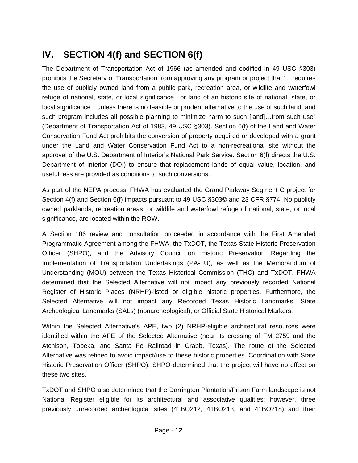# **IV. SECTION 4(f) and SECTION 6(f)**

The Department of Transportation Act of 1966 (as amended and codified in 49 USC §303) prohibits the Secretary of Transportation from approving any program or project that "…requires the use of publicly owned land from a public park, recreation area, or wildlife and waterfowl refuge of national, state, or local significance…or land of an historic site of national, state, or local significance…unless there is no feasible or prudent alternative to the use of such land, and such program includes all possible planning to minimize harm to such [land]…from such use" (Department of Transportation Act of 1983, 49 USC §303). Section 6(f) of the Land and Water Conservation Fund Act prohibits the conversion of property acquired or developed with a grant under the Land and Water Conservation Fund Act to a non-recreational site without the approval of the U.S. Department of Interior's National Park Service. Section 6(f) directs the U.S. Department of Interior (DOI) to ensure that replacement lands of equal value, location, and usefulness are provided as conditions to such conversions.

As part of the NEPA process, FHWA has evaluated the Grand Parkway Segment C project for Section 4(f) and Section 6(f) impacts pursuant to 49 USC §303© and 23 CFR §774. No publicly owned parklands, recreation areas, or wildlife and waterfowl refuge of national, state, or local significance, are located within the ROW.

A Section 106 review and consultation proceeded in accordance with the First Amended Programmatic Agreement among the FHWA, the TxDOT, the Texas State Historic Preservation Officer (SHPO), and the Advisory Council on Historic Preservation Regarding the Implementation of Transportation Undertakings (PA-TU), as well as the Memorandum of Understanding (MOU) between the Texas Historical Commission (THC) and TxDOT. FHWA determined that the Selected Alternative will not impact any previously recorded National Register of Historic Places (NRHP)-listed or eligible historic properties. Furthermore, the Selected Alternative will not impact any Recorded Texas Historic Landmarks, State Archeological Landmarks (SALs) (nonarcheological), or Official State Historical Markers.

Within the Selected Alternative's APE, two (2) NRHP-eligible architectural resources were identified within the APE of the Selected Alternative (near its crossing of FM 2759 and the Atchison, Topeka, and Santa Fe Railroad in Crabb, Texas). The route of the Selected Alternative was refined to avoid impact/use to these historic properties. Coordination with State Historic Preservation Officer (SHPO), SHPO determined that the project will have no effect on these two sites.

TxDOT and SHPO also determined that the Darrington Plantation/Prison Farm landscape is not National Register eligible for its architectural and associative qualities; however, three previously unrecorded archeological sites (41BO212, 41BO213, and 41BO218) and their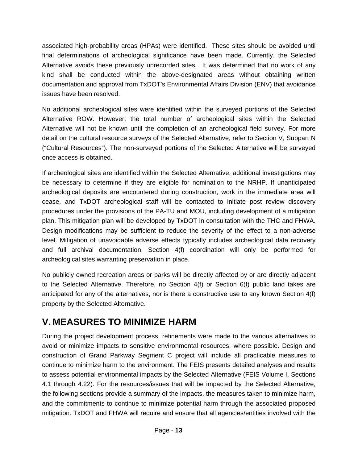associated high-probability areas (HPAs) were identified. These sites should be avoided until final determinations of archeological significance have been made. Currently, the Selected Alternative avoids these previously unrecorded sites. It was determined that no work of any kind shall be conducted within the above-designated areas without obtaining written documentation and approval from TxDOT's Environmental Affairs Division (ENV) that avoidance issues have been resolved.

No additional archeological sites were identified within the surveyed portions of the Selected Alternative ROW. However, the total number of archeological sites within the Selected Alternative will not be known until the completion of an archeological field survey. For more detail on the cultural resource surveys of the Selected Alternative, refer to Section V, Subpart N ("Cultural Resources"). The non-surveyed portions of the Selected Alternative will be surveyed once access is obtained.

If archeological sites are identified within the Selected Alternative, additional investigations may be necessary to determine if they are eligible for nomination to the NRHP. If unanticipated archeological deposits are encountered during construction, work in the immediate area will cease, and TxDOT archeological staff will be contacted to initiate post review discovery procedures under the provisions of the PA-TU and MOU, including development of a mitigation plan. This mitigation plan will be developed by TxDOT in consultation with the THC and FHWA. Design modifications may be sufficient to reduce the severity of the effect to a non-adverse level. Mitigation of unavoidable adverse effects typically includes archeological data recovery and full archival documentation. Section 4(f) coordination will only be performed for archeological sites warranting preservation in place.

No publicly owned recreation areas or parks will be directly affected by or are directly adjacent to the Selected Alternative. Therefore, no Section 4(f) or Section 6(f) public land takes are anticipated for any of the alternatives, nor is there a constructive use to any known Section 4(f) property by the Selected Alternative.

## **V. MEASURES TO MINIMIZE HARM**

During the project development process, refinements were made to the various alternatives to avoid or minimize impacts to sensitive environmental resources, where possible. Design and construction of Grand Parkway Segment C project will include all practicable measures to continue to minimize harm to the environment. The FEIS presents detailed analyses and results to assess potential environmental impacts by the Selected Alternative (FEIS Volume I, Sections 4.1 through 4.22). For the resources/issues that will be impacted by the Selected Alternative, the following sections provide a summary of the impacts, the measures taken to minimize harm, and the commitments to continue to minimize potential harm through the associated proposed mitigation. TxDOT and FHWA will require and ensure that all agencies/entities involved with the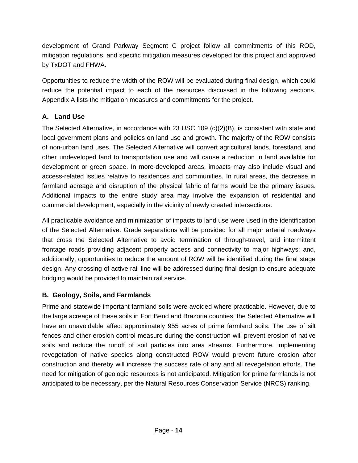development of Grand Parkway Segment C project follow all commitments of this ROD, mitigation regulations, and specific mitigation measures developed for this project and approved by TxDOT and FHWA.

Opportunities to reduce the width of the ROW will be evaluated during final design, which could reduce the potential impact to each of the resources discussed in the following sections. Appendix A lists the mitigation measures and commitments for the project.

## **A. Land Use**

The Selected Alternative, in accordance with 23 USC 109 (c)(2)(B), is consistent with state and local government plans and policies on land use and growth. The majority of the ROW consists of non-urban land uses. The Selected Alternative will convert agricultural lands, forestland, and other undeveloped land to transportation use and will cause a reduction in land available for development or green space. In more-developed areas, impacts may also include visual and access-related issues relative to residences and communities. In rural areas, the decrease in farmland acreage and disruption of the physical fabric of farms would be the primary issues. Additional impacts to the entire study area may involve the expansion of residential and commercial development, especially in the vicinity of newly created intersections.

All practicable avoidance and minimization of impacts to land use were used in the identification of the Selected Alternative. Grade separations will be provided for all major arterial roadways that cross the Selected Alternative to avoid termination of through-travel, and intermittent frontage roads providing adjacent property access and connectivity to major highways; and, additionally, opportunities to reduce the amount of ROW will be identified during the final stage design. Any crossing of active rail line will be addressed during final design to ensure adequate bridging would be provided to maintain rail service.

## **B. Geology, Soils, and Farmlands**

Prime and statewide important farmland soils were avoided where practicable. However, due to the large acreage of these soils in Fort Bend and Brazoria counties, the Selected Alternative will have an unavoidable affect approximately 955 acres of prime farmland soils. The use of silt fences and other erosion control measure during the construction will prevent erosion of native soils and reduce the runoff of soil particles into area streams. Furthermore, implementing revegetation of native species along constructed ROW would prevent future erosion after construction and thereby will increase the success rate of any and all revegetation efforts. The need for mitigation of geologic resources is not anticipated. Mitigation for prime farmlands is not anticipated to be necessary, per the Natural Resources Conservation Service (NRCS) ranking.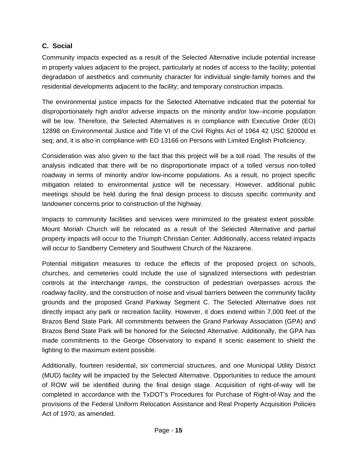## **C. Social**

Community impacts expected as a result of the Selected Alternative include potential increase in property values adjacent to the project, particularly at nodes of access to the facility; potential degradation of aesthetics and community character for individual single-family homes and the residential developments adjacent to the facility; and temporary construction impacts.

The environmental justice impacts for the Selected Alternative indicated that the potential for disproportionately high and/or adverse impacts on the minority and/or low–income population will be low. Therefore, the Selected Alternatives is in compliance with Executive Order (EO) 12898 on Environmental Justice and Title VI of the Civil Rights Act of 1964 42 USC §2000d et seq; and, it is also in compliance with EO 13166 on Persons with Limited English Proficiency.

Consideration was also given to the fact that this project will be a toll road. The results of the analysis indicated that there will be no disproportionate impact of a tolled versus non-tolled roadway in terms of minority and/or low-income populations. As a result, no project specific mitigation related to environmental justice will be necessary. However, additional public meetings should be held during the final design process to discuss specific community and landowner concerns prior to construction of the highway.

Impacts to community facilities and services were minimized to the greatest extent possible. Mount Moriah Church will be relocated as a result of the Selected Alternative and partial property impacts will occur to the Triumph Christian Center. Additionally, access related impacts will occur to Sandberry Cemetery and Southwest Church of the Nazarene.

Potential mitigation measures to reduce the effects of the proposed project on schools, churches, and cemeteries could include the use of signalized intersections with pedestrian controls at the interchange ramps, the construction of pedestrian overpasses across the roadway facility, and the construction of noise and visual barriers between the community facility grounds and the proposed Grand Parkway Segment C. The Selected Alternative does not directly impact any park or recreation facility. However, it does extend within 7,000 feet of the Brazos Bend State Park. All commitments between the Grand Parkway Association (GPA) and Brazos Bend State Park will be honored for the Selected Alternative. Additionally, the GPA has made commitments to the George Observatory to expand it scenic easement to shield the lighting to the maximum extent possible.

Additionally, fourteen residential, six commercial structures, and one Municipal Utility District (MUD) facility will be impacted by the Selected Alternative. Opportunities to reduce the amount of ROW will be identified during the final design stage. Acquisition of right-of-way will be completed in accordance with the TxDOT's Procedures for Purchase of Right-of-Way and the provisions of the Federal Uniform Relocation Assistance and Real Property Acquisition Policies Act of 1970, as amended.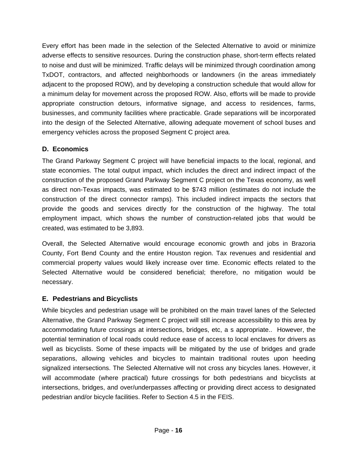Every effort has been made in the selection of the Selected Alternative to avoid or minimize adverse effects to sensitive resources. During the construction phase, short-term effects related to noise and dust will be minimized. Traffic delays will be minimized through coordination among TxDOT, contractors, and affected neighborhoods or landowners (in the areas immediately adjacent to the proposed ROW), and by developing a construction schedule that would allow for a minimum delay for movement across the proposed ROW. Also, efforts will be made to provide appropriate construction detours, informative signage, and access to residences, farms, businesses, and community facilities where practicable. Grade separations will be incorporated into the design of the Selected Alternative, allowing adequate movement of school buses and emergency vehicles across the proposed Segment C project area.

## **D. Economics**

The Grand Parkway Segment C project will have beneficial impacts to the local, regional, and state economies. The total output impact, which includes the direct and indirect impact of the construction of the proposed Grand Parkway Segment C project on the Texas economy, as well as direct non-Texas impacts, was estimated to be \$743 million (estimates do not include the construction of the direct connector ramps). This included indirect impacts the sectors that provide the goods and services directly for the construction of the highway. The total employment impact, which shows the number of construction-related jobs that would be created, was estimated to be 3,893.

Overall, the Selected Alternative would encourage economic growth and jobs in Brazoria County, Fort Bend County and the entire Houston region. Tax revenues and residential and commercial property values would likely increase over time. Economic effects related to the Selected Alternative would be considered beneficial; therefore, no mitigation would be necessary.

## **E. Pedestrians and Bicyclists**

While bicycles and pedestrian usage will be prohibited on the main travel lanes of the Selected Alternative, the Grand Parkway Segment C project will still increase accessibility to this area by accommodating future crossings at intersections, bridges, etc, a s appropriate.. However, the potential termination of local roads could reduce ease of access to local enclaves for drivers as well as bicyclists. Some of these impacts will be mitigated by the use of bridges and grade separations, allowing vehicles and bicycles to maintain traditional routes upon heeding signalized intersections. The Selected Alternative will not cross any bicycles lanes. However, it will accommodate (where practical) future crossings for both pedestrians and bicyclists at intersections, bridges, and over/underpasses affecting or providing direct access to designated pedestrian and/or bicycle facilities. Refer to Section 4.5 in the FEIS.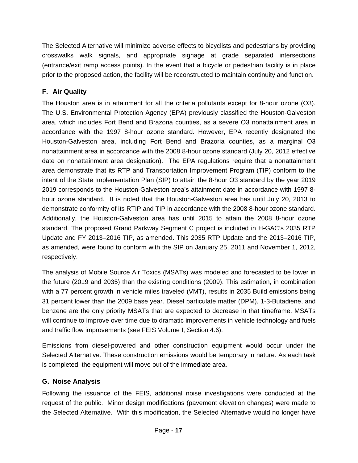The Selected Alternative will minimize adverse effects to bicyclists and pedestrians by providing crosswalks walk signals, and appropriate signage at grade separated intersections (entrance/exit ramp access points). In the event that a bicycle or pedestrian facility is in place prior to the proposed action, the facility will be reconstructed to maintain continuity and function.

## **F. Air Quality**

The Houston area is in attainment for all the criteria pollutants except for 8-hour ozone (O3). The U.S. Environmental Protection Agency (EPA) previously classified the Houston-Galveston area, which includes Fort Bend and Brazoria counties, as a severe O3 nonattainment area in accordance with the 1997 8-hour ozone standard. However, EPA recently designated the Houston-Galveston area, including Fort Bend and Brazoria counties, as a marginal O3 nonattainment area in accordance with the 2008 8-hour ozone standard (July 20, 2012 effective date on nonattainment area designation). The EPA regulations require that a nonattainment area demonstrate that its RTP and Transportation Improvement Program (TIP) conform to the intent of the State Implementation Plan (SIP) to attain the 8-hour O3 standard by the year 2019 2019 corresponds to the Houston-Galveston area's attainment date in accordance with 1997 8 hour ozone standard. It is noted that the Houston-Galveston area has until July 20, 2013 to demonstrate conformity of its RTIP and TIP in accordance with the 2008 8-hour ozone standard. Additionally, the Houston-Galveston area has until 2015 to attain the 2008 8-hour ozone standard. The proposed Grand Parkway Segment C project is included in H-GAC's 2035 RTP Update and FY 2013–2016 TIP, as amended. This 2035 RTP Update and the 2013–2016 TIP, as amended, were found to conform with the SIP on January 25, 2011 and November 1, 2012, respectively.

The analysis of Mobile Source Air Toxics (MSATs) was modeled and forecasted to be lower in the future (2019 and 2035) than the existing conditions (2009). This estimation, in combination with a 77 percent growth in vehicle miles traveled (VMT), results in 2035 Build emissions being 31 percent lower than the 2009 base year. Diesel particulate matter (DPM), 1-3-Butadiene, and benzene are the only priority MSATs that are expected to decrease in that timeframe. MSATs will continue to improve over time due to dramatic improvements in vehicle technology and fuels and traffic flow improvements (see FEIS Volume I, Section 4.6).

Emissions from diesel-powered and other construction equipment would occur under the Selected Alternative. These construction emissions would be temporary in nature. As each task is completed, the equipment will move out of the immediate area.

## **G. Noise Analysis**

Following the issuance of the FEIS, additional noise investigations were conducted at the request of the public. Minor design modifications (pavement elevation changes) were made to the Selected Alternative. With this modification, the Selected Alternative would no longer have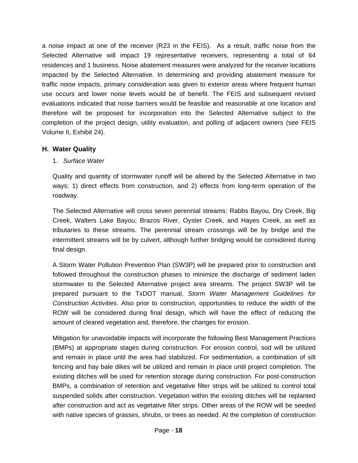a noise impact at one of the receiver (R23 in the FEIS). As a result, traffic noise from the Selected Alternative will impact 19 representative receivers, representing a total of 64 residences and 1 business. Noise abatement measures were analyzed for the receiver locations impacted by the Selected Alternative. In determining and providing abatement measure for traffic noise impacts, primary consideration was given to exterior areas where frequent human use occurs and lower noise levels would be of benefit. The FEIS and subsequent revised evaluations indicated that noise barriers would be feasible and reasonable at one location and therefore will be proposed for incorporation into the Selected Alternative subject to the completion of the project design, utility evaluation, and polling of adjacent owners (see FEIS Volume II, Exhibit 24).

#### **H. Water Quality**

1. *Surface Water*

Quality and quantity of stormwater runoff will be altered by the Selected Alternative in two ways: 1) direct effects from construction, and 2) effects from long-term operation of the roadway.

The Selected Alternative will cross seven perennial streams: Rabbs Bayou, Dry Creek, Big Creek, Walters Lake Bayou, Brazos River, Oyster Creek, and Hayes Creek, as well as tributaries to these streams. The perennial stream crossings will be by bridge and the intermittent streams will be by culvert, although further bridging would be considered during final design.

A Storm Water Pollution Prevention Plan (SW3P) will be prepared prior to construction and followed throughout the construction phases to minimize the discharge of sediment laden stormwater to the Selected Alternative project area streams. The project SW3P will be prepared pursuant to the TxDOT manual, *Storm Water Management Guidelines for Construction Activities*. Also prior to construction, opportunities to reduce the width of the ROW will be considered during final design, which will have the effect of reducing the amount of cleared vegetation and, therefore, the changes for erosion.

Mitigation for unavoidable impacts will incorporate the following Best Management Practices (BMPs) at appropriate stages during construction. For erosion control, sod will be utilized and remain in place until the area had stabilized. For sedimentation, a combination of silt fencing and hay bale dikes will be utilized and remain in place until project completion. The existing ditches will be used for retention storage during construction. For post-construction BMPs, a combination of retention and vegetative filter strips will be utilized to control total suspended solids after construction. Vegetation within the existing ditches will be replanted after construction and act as vegetative filter strips. Other areas of the ROW will be seeded with native species of grasses, shrubs, or trees as needed. At the completion of construction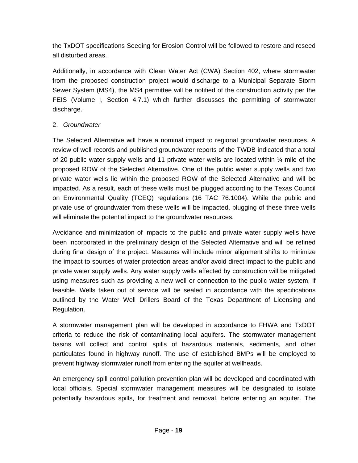the TxDOT specifications Seeding for Erosion Control will be followed to restore and reseed all disturbed areas.

Additionally, in accordance with Clean Water Act (CWA) Section 402, where stormwater from the proposed construction project would discharge to a Municipal Separate Storm Sewer System (MS4), the MS4 permittee will be notified of the construction activity per the FEIS (Volume I, Section 4.7.1) which further discusses the permitting of stormwater discharge.

## 2. *Groundwater*

The Selected Alternative will have a nominal impact to regional groundwater resources. A review of well records and published groundwater reports of the TWDB indicated that a total of 20 public water supply wells and 11 private water wells are located within  $\frac{1}{4}$  mile of the proposed ROW of the Selected Alternative. One of the public water supply wells and two private water wells lie within the proposed ROW of the Selected Alternative and will be impacted. As a result, each of these wells must be plugged according to the Texas Council on Environmental Quality (TCEQ) regulations (16 TAC 76.1004). While the public and private use of groundwater from these wells will be impacted, plugging of these three wells will eliminate the potential impact to the groundwater resources.

Avoidance and minimization of impacts to the public and private water supply wells have been incorporated in the preliminary design of the Selected Alternative and will be refined during final design of the project. Measures will include minor alignment shifts to minimize the impact to sources of water protection areas and/or avoid direct impact to the public and private water supply wells. Any water supply wells affected by construction will be mitigated using measures such as providing a new well or connection to the public water system, if feasible. Wells taken out of service will be sealed in accordance with the specifications outlined by the Water Well Drillers Board of the Texas Department of Licensing and Regulation.

A stormwater management plan will be developed in accordance to FHWA and TxDOT criteria to reduce the risk of contaminating local aquifers. The stormwater management basins will collect and control spills of hazardous materials, sediments, and other particulates found in highway runoff. The use of established BMPs will be employed to prevent highway stormwater runoff from entering the aquifer at wellheads.

An emergency spill control pollution prevention plan will be developed and coordinated with local officials. Special stormwater management measures will be designated to isolate potentially hazardous spills, for treatment and removal, before entering an aquifer. The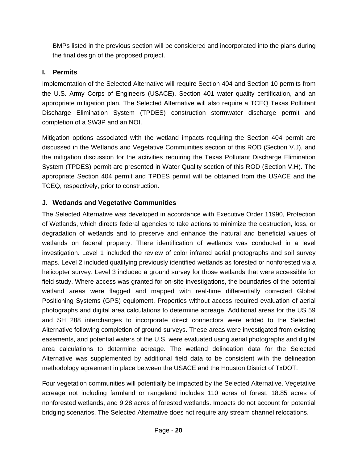BMPs listed in the previous section will be considered and incorporated into the plans during the final design of the proposed project.

## **I. Permits**

Implementation of the Selected Alternative will require Section 404 and Section 10 permits from the U.S. Army Corps of Engineers (USACE), Section 401 water quality certification, and an appropriate mitigation plan. The Selected Alternative will also require a TCEQ Texas Pollutant Discharge Elimination System (TPDES) construction stormwater discharge permit and completion of a SW3P and an NOI.

Mitigation options associated with the wetland impacts requiring the Section 404 permit are discussed in the Wetlands and Vegetative Communities section of this ROD (Section V.J), and the mitigation discussion for the activities requiring the Texas Pollutant Discharge Elimination System (TPDES) permit are presented in Water Quality section of this ROD (Section V.H). The appropriate Section 404 permit and TPDES permit will be obtained from the USACE and the TCEQ, respectively, prior to construction.

## **J. Wetlands and Vegetative Communities**

The Selected Alternative was developed in accordance with Executive Order 11990, Protection of Wetlands, which directs federal agencies to take actions to minimize the destruction, loss, or degradation of wetlands and to preserve and enhance the natural and beneficial values of wetlands on federal property. There identification of wetlands was conducted in a level investigation. Level 1 included the review of color infrared aerial photographs and soil survey maps. Level 2 included qualifying previously identified wetlands as forested or nonforested via a helicopter survey. Level 3 included a ground survey for those wetlands that were accessible for field study. Where access was granted for on-site investigations, the boundaries of the potential wetland areas were flagged and mapped with real-time differentially corrected Global Positioning Systems (GPS) equipment. Properties without access required evaluation of aerial photographs and digital area calculations to determine acreage. Additional areas for the US 59 and SH 288 interchanges to incorporate direct connectors were added to the Selected Alternative following completion of ground surveys. These areas were investigated from existing easements, and potential waters of the U.S. were evaluated using aerial photographs and digital area calculations to determine acreage. The wetland delineation data for the Selected Alternative was supplemented by additional field data to be consistent with the delineation methodology agreement in place between the USACE and the Houston District of TxDOT.

Four vegetation communities will potentially be impacted by the Selected Alternative. Vegetative acreage not including farmland or rangeland includes 110 acres of forest, 18.85 acres of nonforested wetlands, and 9.28 acres of forested wetlands. Impacts do not account for potential bridging scenarios. The Selected Alternative does not require any stream channel relocations.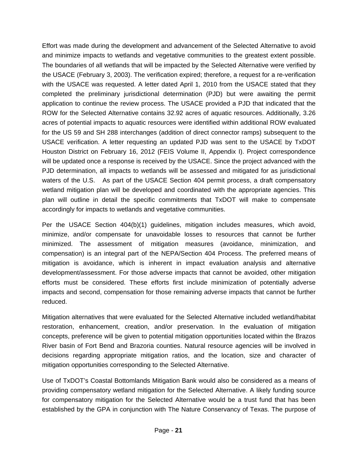Effort was made during the development and advancement of the Selected Alternative to avoid and minimize impacts to wetlands and vegetative communities to the greatest extent possible. The boundaries of all wetlands that will be impacted by the Selected Alternative were verified by the USACE (February 3, 2003). The verification expired; therefore, a request for a re-verification with the USACE was requested. A letter dated April 1, 2010 from the USACE stated that they completed the preliminary jurisdictional determination (PJD) but were awaiting the permit application to continue the review process. The USACE provided a PJD that indicated that the ROW for the Selected Alternative contains 32.92 acres of aquatic resources. Additionally, 3.26 acres of potential impacts to aquatic resources were identified within additional ROW evaluated for the US 59 and SH 288 interchanges (addition of direct connector ramps) subsequent to the USACE verification. A letter requesting an updated PJD was sent to the USACE by TxDOT Houston District on February 16, 2012 (FEIS Volume II, Appendix I). Project correspondence will be updated once a response is received by the USACE. Since the project advanced with the PJD determination, all impacts to wetlands will be assessed and mitigated for as jurisdictional waters of the U.S. As part of the USACE Section 404 permit process, a draft compensatory wetland mitigation plan will be developed and coordinated with the appropriate agencies. This plan will outline in detail the specific commitments that TxDOT will make to compensate accordingly for impacts to wetlands and vegetative communities.

Per the USACE Section 404(b)(1) guidelines, mitigation includes measures, which avoid, minimize, and/or compensate for unavoidable losses to resources that cannot be further minimized. The assessment of mitigation measures (avoidance, minimization, and compensation) is an integral part of the NEPA/Section 404 Process. The preferred means of mitigation is avoidance, which is inherent in impact evaluation analysis and alternative development/assessment. For those adverse impacts that cannot be avoided, other mitigation efforts must be considered. These efforts first include minimization of potentially adverse impacts and second, compensation for those remaining adverse impacts that cannot be further reduced.

Mitigation alternatives that were evaluated for the Selected Alternative included wetland/habitat restoration, enhancement, creation, and/or preservation. In the evaluation of mitigation concepts, preference will be given to potential mitigation opportunities located within the Brazos River basin of Fort Bend and Brazoria counties. Natural resource agencies will be involved in decisions regarding appropriate mitigation ratios, and the location, size and character of mitigation opportunities corresponding to the Selected Alternative.

Use of TxDOT's Coastal Bottomlands Mitigation Bank would also be considered as a means of providing compensatory wetland mitigation for the Selected Alternative. A likely funding source for compensatory mitigation for the Selected Alternative would be a trust fund that has been established by the GPA in conjunction with The Nature Conservancy of Texas. The purpose of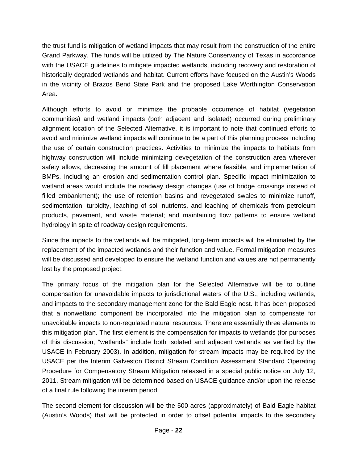the trust fund is mitigation of wetland impacts that may result from the construction of the entire Grand Parkway. The funds will be utilized by The Nature Conservancy of Texas in accordance with the USACE guidelines to mitigate impacted wetlands, including recovery and restoration of historically degraded wetlands and habitat. Current efforts have focused on the Austin's Woods in the vicinity of Brazos Bend State Park and the proposed Lake Worthington Conservation Area.

Although efforts to avoid or minimize the probable occurrence of habitat (vegetation communities) and wetland impacts (both adjacent and isolated) occurred during preliminary alignment location of the Selected Alternative, it is important to note that continued efforts to avoid and minimize wetland impacts will continue to be a part of this planning process including the use of certain construction practices. Activities to minimize the impacts to habitats from highway construction will include minimizing devegetation of the construction area wherever safety allows, decreasing the amount of fill placement where feasible, and implementation of BMPs, including an erosion and sedimentation control plan. Specific impact minimization to wetland areas would include the roadway design changes (use of bridge crossings instead of filled embankment); the use of retention basins and revegetated swales to minimize runoff, sedimentation, turbidity, leaching of soil nutrients, and leaching of chemicals from petroleum products, pavement, and waste material; and maintaining flow patterns to ensure wetland hydrology in spite of roadway design requirements.

Since the impacts to the wetlands will be mitigated, long-term impacts will be eliminated by the replacement of the impacted wetlands and their function and value. Formal mitigation measures will be discussed and developed to ensure the wetland function and values are not permanently lost by the proposed project.

The primary focus of the mitigation plan for the Selected Alternative will be to outline compensation for unavoidable impacts to jurisdictional waters of the U.S., including wetlands, and impacts to the secondary management zone for the Bald Eagle nest. It has been proposed that a nonwetland component be incorporated into the mitigation plan to compensate for unavoidable impacts to non-regulated natural resources. There are essentially three elements to this mitigation plan. The first element is the compensation for impacts to wetlands (for purposes of this discussion, "wetlands" include both isolated and adjacent wetlands as verified by the USACE in February 2003). In addition, mitigation for stream impacts may be required by the USACE per the Interim Galveston District Stream Condition Assessment Standard Operating Procedure for Compensatory Stream Mitigation released in a special public notice on July 12, 2011. Stream mitigation will be determined based on USACE guidance and/or upon the release of a final rule following the interim period.

The second element for discussion will be the 500 acres (approximately) of Bald Eagle habitat (Austin's Woods) that will be protected in order to offset potential impacts to the secondary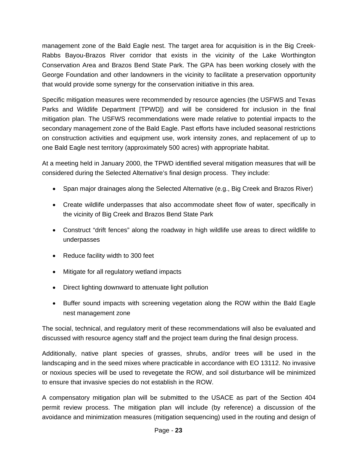management zone of the Bald Eagle nest. The target area for acquisition is in the Big Creek-Rabbs Bayou-Brazos River corridor that exists in the vicinity of the Lake Worthington Conservation Area and Brazos Bend State Park. The GPA has been working closely with the George Foundation and other landowners in the vicinity to facilitate a preservation opportunity that would provide some synergy for the conservation initiative in this area.

Specific mitigation measures were recommended by resource agencies (the USFWS and Texas Parks and Wildlife Department [TPWD]) and will be considered for inclusion in the final mitigation plan. The USFWS recommendations were made relative to potential impacts to the secondary management zone of the Bald Eagle. Past efforts have included seasonal restrictions on construction activities and equipment use, work intensity zones, and replacement of up to one Bald Eagle nest territory (approximately 500 acres) with appropriate habitat.

At a meeting held in January 2000, the TPWD identified several mitigation measures that will be considered during the Selected Alternative's final design process. They include:

- Span major drainages along the Selected Alternative (e.g., Big Creek and Brazos River)
- Create wildlife underpasses that also accommodate sheet flow of water, specifically in the vicinity of Big Creek and Brazos Bend State Park
- Construct "drift fences" along the roadway in high wildlife use areas to direct wildlife to underpasses
- Reduce facility width to 300 feet
- Mitigate for all regulatory wetland impacts
- Direct lighting downward to attenuate light pollution
- Buffer sound impacts with screening vegetation along the ROW within the Bald Eagle nest management zone

The social, technical, and regulatory merit of these recommendations will also be evaluated and discussed with resource agency staff and the project team during the final design process.

Additionally, native plant species of grasses, shrubs, and/or trees will be used in the landscaping and in the seed mixes where practicable in accordance with EO 13112. No invasive or noxious species will be used to revegetate the ROW, and soil disturbance will be minimized to ensure that invasive species do not establish in the ROW.

A compensatory mitigation plan will be submitted to the USACE as part of the Section 404 permit review process. The mitigation plan will include (by reference) a discussion of the avoidance and minimization measures (mitigation sequencing) used in the routing and design of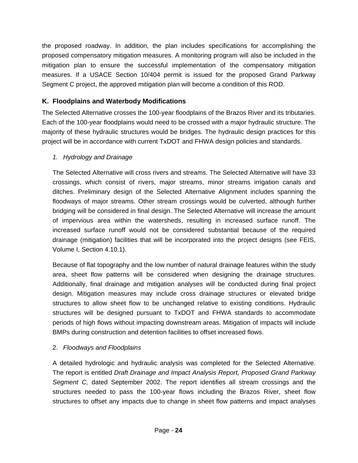the proposed roadway. In addition, the plan includes specifications for accomplishing the proposed compensatory mitigation measures. A monitoring program will also be included in the mitigation plan to ensure the successful implementation of the compensatory mitigation measures. If a USACE Section 10/404 permit is issued for the proposed Grand Parkway Segment C project, the approved mitigation plan will become a condition of this ROD.

## **K. Floodplains and Waterbody Modifications**

The Selected Alternative crosses the 100-year floodplains of the Brazos River and its tributaries. Each of the 100-year floodplains would need to be crossed with a major hydraulic structure. The majority of these hydraulic structures would be bridges. The hydraulic design practices for this project will be in accordance with current TxDOT and FHWA design policies and standards.

## *1. Hydrology and Drainage*

The Selected Alternative will cross rivers and streams. The Selected Alternative will have 33 crossings, which consist of rivers, major streams, minor streams irrigation canals and ditches. Preliminary design of the Selected Alternative Alignment includes spanning the floodways of major streams. Other stream crossings would be culverted, although further bridging will be considered in final design. The Selected Alternative will increase the amount of impervious area within the watersheds, resulting in increased surface runoff. The increased surface runoff would not be considered substantial because of the required drainage (mitigation) facilities that will be incorporated into the project designs (see FEIS, Volume I, Section 4.10.1).

Because of flat topography and the low number of natural drainage features within the study area, sheet flow patterns will be considered when designing the drainage structures. Additionally, final drainage and mitigation analyses will be conducted during final project design. Mitigation measures may include cross drainage structures or elevated bridge structures to allow sheet flow to be unchanged relative to existing conditions. Hydraulic structures will be designed pursuant to TxDOT and FHWA standards to accommodate periods of high flows without impacting downstream areas. Mitigation of impacts will include BMPs during construction and detention facilities to offset increased flows.

## 2. *Floodways and Floodplains*

A detailed hydrologic and hydraulic analysis was completed for the Selected Alternative. The report is entitled *Draft Drainage and Impact Analysis Report, Proposed Grand Parkway Segment C,* dated September 2002. The report identifies all stream crossings and the structures needed to pass the 100-year flows including the Brazos River, sheet flow structures to offset any impacts due to change in sheet flow patterns and impact analyses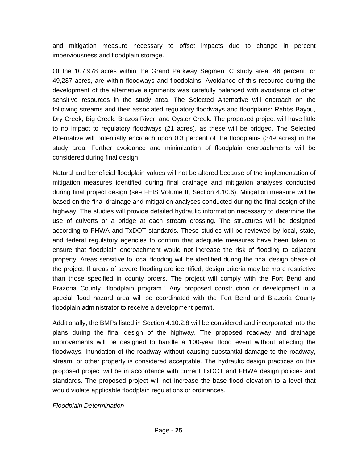and mitigation measure necessary to offset impacts due to change in percent imperviousness and floodplain storage.

Of the 107,978 acres within the Grand Parkway Segment C study area, 46 percent, or 49,237 acres, are within floodways and floodplains. Avoidance of this resource during the development of the alternative alignments was carefully balanced with avoidance of other sensitive resources in the study area. The Selected Alternative will encroach on the following streams and their associated regulatory floodways and floodplains: Rabbs Bayou, Dry Creek, Big Creek, Brazos River, and Oyster Creek. The proposed project will have little to no impact to regulatory floodways (21 acres), as these will be bridged. The Selected Alternative will potentially encroach upon 0.3 percent of the floodplains (349 acres) in the study area. Further avoidance and minimization of floodplain encroachments will be considered during final design.

Natural and beneficial floodplain values will not be altered because of the implementation of mitigation measures identified during final drainage and mitigation analyses conducted during final project design (see FEIS Volume II, Section 4.10.6). Mitigation measure will be based on the final drainage and mitigation analyses conducted during the final design of the highway. The studies will provide detailed hydraulic information necessary to determine the use of culverts or a bridge at each stream crossing. The structures will be designed according to FHWA and TxDOT standards. These studies will be reviewed by local, state, and federal regulatory agencies to confirm that adequate measures have been taken to ensure that floodplain encroachment would not increase the risk of flooding to adjacent property. Areas sensitive to local flooding will be identified during the final design phase of the project. If areas of severe flooding are identified, design criteria may be more restrictive than those specified in county orders. The project will comply with the Fort Bend and Brazoria County "floodplain program." Any proposed construction or development in a special flood hazard area will be coordinated with the Fort Bend and Brazoria County floodplain administrator to receive a development permit.

Additionally, the BMPs listed in Section 4.10.2.8 will be considered and incorporated into the plans during the final design of the highway. The proposed roadway and drainage improvements will be designed to handle a 100-year flood event without affecting the floodways. Inundation of the roadway without causing substantial damage to the roadway, stream, or other property is considered acceptable. The hydraulic design practices on this proposed project will be in accordance with current TxDOT and FHWA design policies and standards. The proposed project will not increase the base flood elevation to a level that would violate applicable floodplain regulations or ordinances.

#### *Floodplain Determination*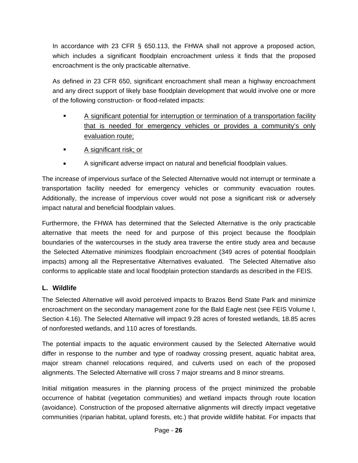In accordance with 23 CFR § 650.113, the FHWA shall not approve a proposed action, which includes a significant floodplain encroachment unless it finds that the proposed encroachment is the only practicable alternative.

As defined in 23 CFR 650, significant encroachment shall mean a highway encroachment and any direct support of likely base floodplain development that would involve one or more of the following construction- or flood-related impacts:

- A significant potential for interruption or termination of a transportation facility that is needed for emergency vehicles or provides a community's only evaluation route;
- **A** significant risk; or
- A significant adverse impact on natural and beneficial floodplain values.

The increase of impervious surface of the Selected Alternative would not interrupt or terminate a transportation facility needed for emergency vehicles or community evacuation routes. Additionally, the increase of impervious cover would not pose a significant risk or adversely impact natural and beneficial floodplain values.

Furthermore, the FHWA has determined that the Selected Alternative is the only practicable alternative that meets the need for and purpose of this project because the floodplain boundaries of the watercourses in the study area traverse the entire study area and because the Selected Alternative minimizes floodplain encroachment (349 acres of potential floodplain impacts) among all the Representative Alternatives evaluated. The Selected Alternative also conforms to applicable state and local floodplain protection standards as described in the FEIS.

## **L. Wildlife**

The Selected Alternative will avoid perceived impacts to Brazos Bend State Park and minimize encroachment on the secondary management zone for the Bald Eagle nest (see FEIS Volume I, Section 4.16). The Selected Alternative will impact 9.28 acres of forested wetlands, 18.85 acres of nonforested wetlands, and 110 acres of forestlands.

The potential impacts to the aquatic environment caused by the Selected Alternative would differ in response to the number and type of roadway crossing present, aquatic habitat area, major stream channel relocations required, and culverts used on each of the proposed alignments. The Selected Alternative will cross 7 major streams and 8 minor streams.

Initial mitigation measures in the planning process of the project minimized the probable occurrence of habitat (vegetation communities) and wetland impacts through route location (avoidance). Construction of the proposed alternative alignments will directly impact vegetative communities (riparian habitat, upland forests, etc.) that provide wildlife habitat. For impacts that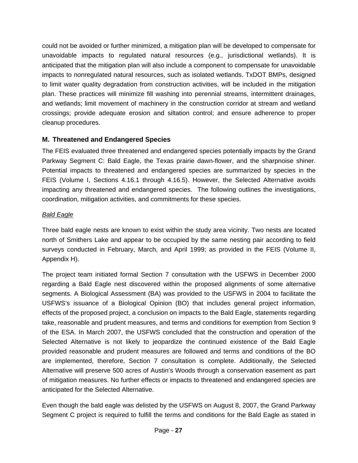could not be avoided or further minimized, a mitigation plan will be developed to compensate for unavoidable impacts to regulated natural resources (e.g., jurisdictional wetlands). It is anticipated that the mitigation plan will also include a component to compensate for unavoidable impacts to nonregulated natural resources, such as isolated wetlands. TxDOT BMPs, designed to limit water quality degradation from construction activities, will be included in the mitigation plan. These practices will minimize fill washing into perennial streams, intermittent drainages, and wetlands; limit movement of machinery in the construction corridor at stream and wetland crossings; provide adequate erosion and siltation control; and ensure adherence to proper cleanup procedures.

## **M. Threatened and Endangered Species**

The FEIS evaluated three threatened and endangered species potentially impacts by the Grand Parkway Segment C: Bald Eagle, the Texas prairie dawn-flower, and the sharpnoise shiner. Potential impacts to threatened and endangered species are summarized by species in the FEIS (Volume I, Sections 4.16.1 through 4.16.5). However, the Selected Alternative avoids impacting any threatened and endangered species. The following outlines the investigations, coordination, mitigation activities, and commitments for these species.

## *Bald Eagle*

Three bald eagle nests are known to exist within the study area vicinity. Two nests are located north of Smithers Lake and appear to be occupied by the same nesting pair according to field surveys conducted in February, March, and April 1999; as provided in the FEIS (Volume II, Appendix H).

The project team initiated formal Section 7 consultation with the USFWS in December 2000 regarding a Bald Eagle nest discovered within the proposed alignments of some alternative segments. A Biological Assessment (BA) was provided to the USFWS in 2004 to facilitate the USFWS's issuance of a Biological Opinion (BO) that includes general project information, effects of the proposed project, a conclusion on impacts to the Bald Eagle, statements regarding take, reasonable and prudent measures, and terms and conditions for exemption from Section 9 of the ESA. In March 2007, the USFWS concluded that the construction and operation of the Selected Alternative is not likely to jeopardize the continued existence of the Bald Eagle provided reasonable and prudent measures are followed and terms and conditions of the BO are implemented, therefore, Section 7 consultation is complete. Additionally, the Selected Alternative will preserve 500 acres of Austin's Woods through a conservation easement as part of mitigation measures. No further effects or impacts to threatened and endangered species are anticipated for the Selected Alternative.

Even though the bald eagle was delisted by the USFWS on August 8, 2007, the Grand Parkway Segment C project is required to fulfill the terms and conditions for the Bald Eagle as stated in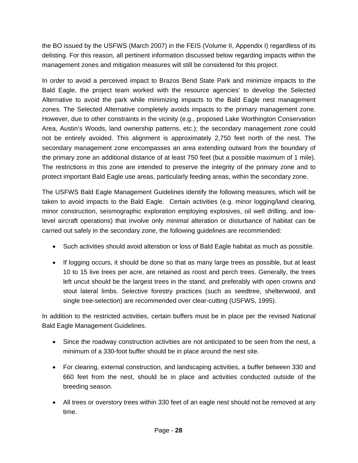the BO issued by the USFWS (March 2007) in the FEIS (Volume II, Appendix I) regardless of its delisting. For this reason, all pertinent information discussed below regarding impacts within the management zones and mitigation measures will still be considered for this project.

In order to avoid a perceived impact to Brazos Bend State Park and minimize impacts to the Bald Eagle, the project team worked with the resource agencies' to develop the Selected Alternative to avoid the park while minimizing impacts to the Bald Eagle nest management zones. The Selected Alternative completely avoids impacts to the primary management zone. However, due to other constraints in the vicinity (e.g., proposed Lake Worthington Conservation Area, Austin's Woods, land ownership patterns, etc.); the secondary management zone could not be entirely avoided. This alignment is approximately 2,750 feet north of the nest. The secondary management zone encompasses an area extending outward from the boundary of the primary zone an additional distance of at least 750 feet (but a possible maximum of 1 mile). The restrictions in this zone are intended to preserve the integrity of the primary zone and to protect important Bald Eagle use areas, particularly feeding areas, within the secondary zone.

The USFWS Bald Eagle Management Guidelines identify the following measures, which will be taken to avoid impacts to the Bald Eagle. Certain activities (e.g. minor logging/land clearing, minor construction, seismographic exploration employing explosives, oil well drilling, and lowlevel aircraft operations) that involve only minimal alteration or disturbance of habitat can be carried out safely in the secondary zone, the following guidelines are recommended:

- Such activities should avoid alteration or loss of Bald Eagle habitat as much as possible.
- If logging occurs, it should be done so that as many large trees as possible, but at least 10 to 15 live trees per acre, are retained as roost and perch trees. Generally, the trees left uncut should be the largest trees in the stand, and preferably with open crowns and stout lateral limbs. Selective forestry practices (such as seedtree, shelterwood, and single tree-selection) are recommended over clear-cutting (USFWS, 1995).

In addition to the restricted activities, certain buffers must be in place per the revised National Bald Eagle Management Guidelines.

- Since the roadway construction activities are not anticipated to be seen from the nest, a minimum of a 330-foot buffer should be in place around the nest site.
- For clearing, external construction, and landscaping activities, a buffer between 330 and 660 feet from the nest, should be in place and activities conducted outside of the breeding season.
- All trees or overstory trees within 330 feet of an eagle nest should not be removed at any time.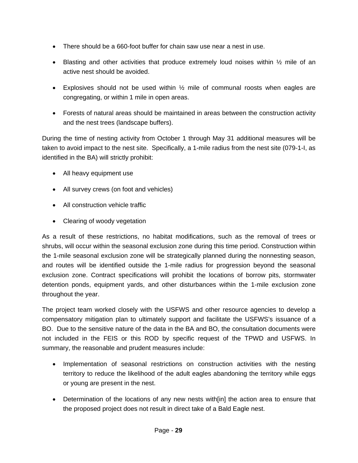- There should be a 660-foot buffer for chain saw use near a nest in use.
- **•** Blasting and other activities that produce extremely loud noises within  $\frac{1}{2}$  mile of an active nest should be avoided.
- Explosives should not be used within  $\frac{1}{2}$  mile of communal roosts when eagles are congregating, or within 1 mile in open areas.
- Forests of natural areas should be maintained in areas between the construction activity and the nest trees (landscape buffers).

During the time of nesting activity from October 1 through May 31 additional measures will be taken to avoid impact to the nest site. Specifically, a 1-mile radius from the nest site (079-1-I, as identified in the BA) will strictly prohibit:

- All heavy equipment use
- All survey crews (on foot and vehicles)
- All construction vehicle traffic
- Clearing of woody vegetation

As a result of these restrictions, no habitat modifications, such as the removal of trees or shrubs, will occur within the seasonal exclusion zone during this time period. Construction within the 1-mile seasonal exclusion zone will be strategically planned during the nonnesting season, and routes will be identified outside the 1-mile radius for progression beyond the seasonal exclusion zone. Contract specifications will prohibit the locations of borrow pits, stormwater detention ponds, equipment yards, and other disturbances within the 1-mile exclusion zone throughout the year.

The project team worked closely with the USFWS and other resource agencies to develop a compensatory mitigation plan to ultimately support and facilitate the USFWS's issuance of a BO. Due to the sensitive nature of the data in the BA and BO, the consultation documents were not included in the FEIS or this ROD by specific request of the TPWD and USFWS. In summary, the reasonable and prudent measures include:

- Implementation of seasonal restrictions on construction activities with the nesting territory to reduce the likelihood of the adult eagles abandoning the territory while eggs or young are present in the nest.
- Determination of the locations of any new nests with in the action area to ensure that the proposed project does not result in direct take of a Bald Eagle nest.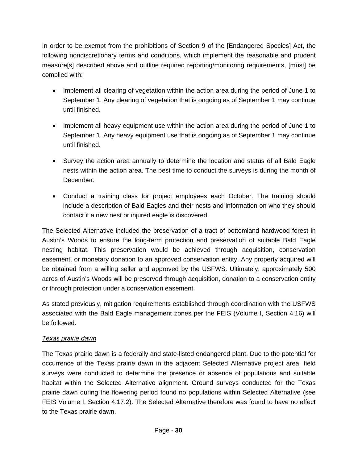In order to be exempt from the prohibitions of Section 9 of the [Endangered Species] Act, the following nondiscretionary terms and conditions, which implement the reasonable and prudent measure[s] described above and outline required reporting/monitoring requirements, [must] be complied with:

- Implement all clearing of vegetation within the action area during the period of June 1 to September 1. Any clearing of vegetation that is ongoing as of September 1 may continue until finished.
- Implement all heavy equipment use within the action area during the period of June 1 to September 1. Any heavy equipment use that is ongoing as of September 1 may continue until finished.
- Survey the action area annually to determine the location and status of all Bald Eagle nests within the action area. The best time to conduct the surveys is during the month of December.
- Conduct a training class for project employees each October. The training should include a description of Bald Eagles and their nests and information on who they should contact if a new nest or injured eagle is discovered.

The Selected Alternative included the preservation of a tract of bottomland hardwood forest in Austin's Woods to ensure the long-term protection and preservation of suitable Bald Eagle nesting habitat. This preservation would be achieved through acquisition, conservation easement, or monetary donation to an approved conservation entity. Any property acquired will be obtained from a willing seller and approved by the USFWS. Ultimately, approximately 500 acres of Austin's Woods will be preserved through acquisition, donation to a conservation entity or through protection under a conservation easement.

As stated previously, mitigation requirements established through coordination with the USFWS associated with the Bald Eagle management zones per the FEIS (Volume I, Section 4.16) will be followed.

#### *Texas prairie dawn*

The Texas prairie dawn is a federally and state-listed endangered plant. Due to the potential for occurrence of the Texas prairie dawn in the adjacent Selected Alternative project area, field surveys were conducted to determine the presence or absence of populations and suitable habitat within the Selected Alternative alignment. Ground surveys conducted for the Texas prairie dawn during the flowering period found no populations within Selected Alternative (see FEIS Volume I, Section 4.17.2). The Selected Alternative therefore was found to have no effect to the Texas prairie dawn.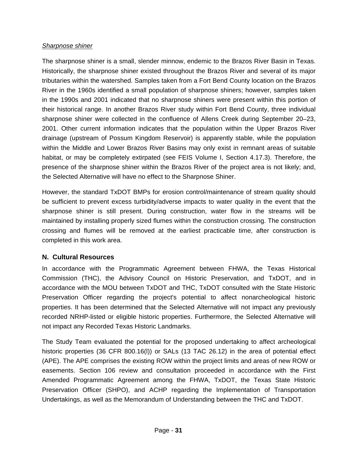#### *Sharpnose shiner*

The sharpnose shiner is a small, slender minnow, endemic to the Brazos River Basin in Texas. Historically, the sharpnose shiner existed throughout the Brazos River and several of its major tributaries within the watershed. Samples taken from a Fort Bend County location on the Brazos River in the 1960s identified a small population of sharpnose shiners; however, samples taken in the 1990s and 2001 indicated that no sharpnose shiners were present within this portion of their historical range. In another Brazos River study within Fort Bend County, three individual sharpnose shiner were collected in the confluence of Allens Creek during September 20–23, 2001. Other current information indicates that the population within the Upper Brazos River drainage (upstream of Possum Kingdom Reservoir) is apparently stable, while the population within the Middle and Lower Brazos River Basins may only exist in remnant areas of suitable habitat, or may be completely extirpated (see FEIS Volume I, Section 4.17.3). Therefore, the presence of the sharpnose shiner within the Brazos River of the project area is not likely; and, the Selected Alternative will have no effect to the Sharpnose Shiner.

However, the standard TxDOT BMPs for erosion control/maintenance of stream quality should be sufficient to prevent excess turbidity/adverse impacts to water quality in the event that the sharpnose shiner is still present. During construction, water flow in the streams will be maintained by installing properly sized flumes within the construction crossing. The construction crossing and flumes will be removed at the earliest practicable time, after construction is completed in this work area.

#### **N. Cultural Resources**

In accordance with the Programmatic Agreement between FHWA, the Texas Historical Commission (THC), the Advisory Council on Historic Preservation, and TxDOT, and in accordance with the MOU between TxDOT and THC, TxDOT consulted with the State Historic Preservation Officer regarding the project's potential to affect nonarcheological historic properties. It has been determined that the Selected Alternative will not impact any previously recorded NRHP-listed or eligible historic properties. Furthermore, the Selected Alternative will not impact any Recorded Texas Historic Landmarks.

The Study Team evaluated the potential for the proposed undertaking to affect archeological historic properties (36 CFR 800.16(I)) or SALs (13 TAC 26.12) in the area of potential effect (APE). The APE comprises the existing ROW within the project limits and areas of new ROW or easements. Section 106 review and consultation proceeded in accordance with the First Amended Programmatic Agreement among the FHWA, TxDOT, the Texas State Historic Preservation Officer (SHPO), and ACHP regarding the Implementation of Transportation Undertakings, as well as the Memorandum of Understanding between the THC and TxDOT.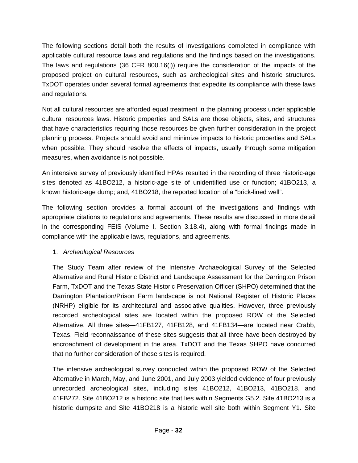The following sections detail both the results of investigations completed in compliance with applicable cultural resource laws and regulations and the findings based on the investigations. The laws and regulations (36 CFR 800.16(l)) require the consideration of the impacts of the proposed project on cultural resources, such as archeological sites and historic structures. TxDOT operates under several formal agreements that expedite its compliance with these laws and regulations.

Not all cultural resources are afforded equal treatment in the planning process under applicable cultural resources laws. Historic properties and SALs are those objects, sites, and structures that have characteristics requiring those resources be given further consideration in the project planning process. Projects should avoid and minimize impacts to historic properties and SALs when possible. They should resolve the effects of impacts, usually through some mitigation measures, when avoidance is not possible.

An intensive survey of previously identified HPAs resulted in the recording of three historic-age sites denoted as 41BO212, a historic-age site of unidentified use or function; 41BO213, a known historic-age dump; and, 41BO218, the reported location of a "brick-lined well".

The following section provides a formal account of the investigations and findings with appropriate citations to regulations and agreements. These results are discussed in more detail in the corresponding FEIS (Volume I, Section 3.18.4), along with formal findings made in compliance with the applicable laws, regulations, and agreements.

## 1. *Archeological Resources*

The Study Team after review of the Intensive Archaeological Survey of the Selected Alternative and Rural Historic District and Landscape Assessment for the Darrington Prison Farm, TxDOT and the Texas State Historic Preservation Officer (SHPO) determined that the Darrington Plantation/Prison Farm landscape is not National Register of Historic Places (NRHP) eligible for its architectural and associative qualities. However, three previously recorded archeological sites are located within the proposed ROW of the Selected Alternative. All three sites—41FB127, 41FB128, and 41FB134—are located near Crabb, Texas. Field reconnaissance of these sites suggests that all three have been destroyed by encroachment of development in the area. TxDOT and the Texas SHPO have concurred that no further consideration of these sites is required.

The intensive archeological survey conducted within the proposed ROW of the Selected Alternative in March, May, and June 2001, and July 2003 yielded evidence of four previously unrecorded archeological sites, including sites 41BO212, 41BO213, 41BO218, and 41FB272. Site 41BO212 is a historic site that lies within Segments G5.2. Site 41BO213 is a historic dumpsite and Site 41BO218 is a historic well site both within Segment Y1. Site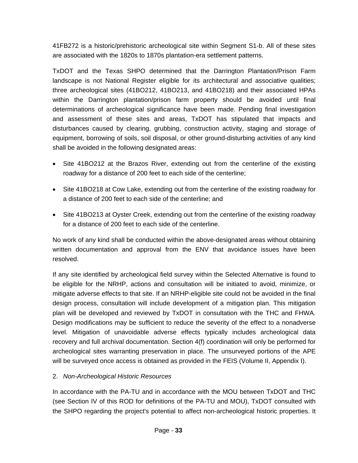41FB272 is a historic/prehistoric archeological site within Segment S1-b. All of these sites are associated with the 1820s to 1870s plantation-era settlement patterns.

TxDOT and the Texas SHPO determined that the Darrington Plantation/Prison Farm landscape is not National Register eligible for its architectural and associative qualities; three archeological sites (41BO212, 41BO213, and 41BO218) and their associated HPAs within the Darrington plantation/prison farm property should be avoided until final determinations of archeological significance have been made. Pending final investigation and assessment of these sites and areas, TxDOT has stipulated that impacts and disturbances caused by clearing, grubbing, construction activity, staging and storage of equipment, borrowing of soils, soil disposal, or other ground-disturbing activities of any kind shall be avoided in the following designated areas:

- Site 41BO212 at the Brazos River, extending out from the centerline of the existing roadway for a distance of 200 feet to each side of the centerline;
- Site 41BO218 at Cow Lake, extending out from the centerline of the existing roadway for a distance of 200 feet to each side of the centerline; and
- Site 41BO213 at Oyster Creek, extending out from the centerline of the existing roadway for a distance of 200 feet to each side of the centerline.

No work of any kind shall be conducted within the above-designated areas without obtaining written documentation and approval from the ENV that avoidance issues have been resolved.

If any site identified by archeological field survey within the Selected Alternative is found to be eligible for the NRHP, actions and consultation will be initiated to avoid, minimize, or mitigate adverse effects to that site. If an NRHP-eligible site could not be avoided in the final design process, consultation will include development of a mitigation plan. This mitigation plan will be developed and reviewed by TxDOT in consultation with the THC and FHWA. Design modifications may be sufficient to reduce the severity of the effect to a nonadverse level. Mitigation of unavoidable adverse effects typically includes archeological data recovery and full archival documentation. Section 4(f) coordination will only be performed for archeological sites warranting preservation in place. The unsurveyed portions of the APE will be surveyed once access is obtained as provided in the FEIS (Volume II, Appendix I).

## 2. *Non-Archeological Historic Resources*

In accordance with the PA-TU and in accordance with the MOU between TxDOT and THC (see Section IV of this ROD for definitions of the PA-TU and MOU), TxDOT consulted with the SHPO regarding the project's potential to affect non-archeological historic properties. It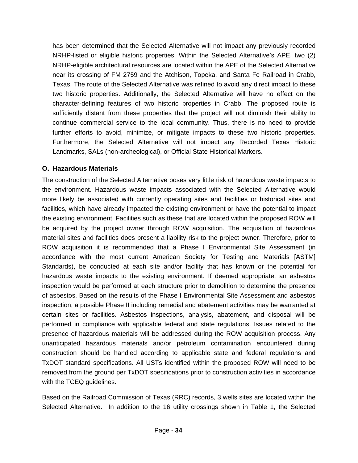has been determined that the Selected Alternative will not impact any previously recorded NRHP-listed or eligible historic properties. Within the Selected Alternative's APE, two (2) NRHP-eligible architectural resources are located within the APE of the Selected Alternative near its crossing of FM 2759 and the Atchison, Topeka, and Santa Fe Railroad in Crabb, Texas. The route of the Selected Alternative was refined to avoid any direct impact to these two historic properties. Additionally, the Selected Alternative will have no effect on the character-defining features of two historic properties in Crabb. The proposed route is sufficiently distant from these properties that the project will not diminish their ability to continue commercial service to the local community. Thus, there is no need to provide further efforts to avoid, minimize, or mitigate impacts to these two historic properties. Furthermore, the Selected Alternative will not impact any Recorded Texas Historic Landmarks, SALs (non-archeological), or Official State Historical Markers.

#### **O. Hazardous Materials**

The construction of the Selected Alternative poses very little risk of hazardous waste impacts to the environment. Hazardous waste impacts associated with the Selected Alternative would more likely be associated with currently operating sites and facilities or historical sites and facilities, which have already impacted the existing environment or have the potential to impact the existing environment. Facilities such as these that are located within the proposed ROW will be acquired by the project owner through ROW acquisition. The acquisition of hazardous material sites and facilities does present a liability risk to the project owner. Therefore, prior to ROW acquisition it is recommended that a Phase I Environmental Site Assessment (in accordance with the most current American Society for Testing and Materials [ASTM] Standards), be conducted at each site and/or facility that has known or the potential for hazardous waste impacts to the existing environment. If deemed appropriate, an asbestos inspection would be performed at each structure prior to demolition to determine the presence of asbestos. Based on the results of the Phase I Environmental Site Assessment and asbestos inspection, a possible Phase II including remedial and abatement activities may be warranted at certain sites or facilities. Asbestos inspections, analysis, abatement, and disposal will be performed in compliance with applicable federal and state regulations. Issues related to the presence of hazardous materials will be addressed during the ROW acquisition process. Any unanticipated hazardous materials and/or petroleum contamination encountered during construction should be handled according to applicable state and federal regulations and TxDOT standard specifications. All USTs identified within the proposed ROW will need to be removed from the ground per TxDOT specifications prior to construction activities in accordance with the TCEQ guidelines.

Based on the Railroad Commission of Texas (RRC) records, 3 wells sites are located within the Selected Alternative. In addition to the 16 utility crossings shown in Table 1, the Selected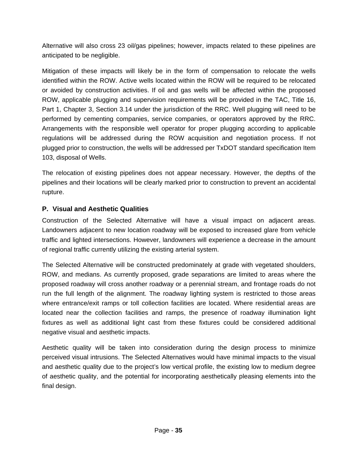Alternative will also cross 23 oil/gas pipelines; however, impacts related to these pipelines are anticipated to be negligible.

Mitigation of these impacts will likely be in the form of compensation to relocate the wells identified within the ROW. Active wells located within the ROW will be required to be relocated or avoided by construction activities. If oil and gas wells will be affected within the proposed ROW, applicable plugging and supervision requirements will be provided in the TAC, Title 16, Part 1, Chapter 3, Section 3.14 under the jurisdiction of the RRC. Well plugging will need to be performed by cementing companies, service companies, or operators approved by the RRC. Arrangements with the responsible well operator for proper plugging according to applicable regulations will be addressed during the ROW acquisition and negotiation process. If not plugged prior to construction, the wells will be addressed per TxDOT standard specification Item 103, disposal of Wells.

The relocation of existing pipelines does not appear necessary. However, the depths of the pipelines and their locations will be clearly marked prior to construction to prevent an accidental rupture.

## **P. Visual and Aesthetic Qualities**

Construction of the Selected Alternative will have a visual impact on adjacent areas. Landowners adjacent to new location roadway will be exposed to increased glare from vehicle traffic and lighted intersections. However, landowners will experience a decrease in the amount of regional traffic currently utilizing the existing arterial system.

The Selected Alternative will be constructed predominately at grade with vegetated shoulders, ROW, and medians. As currently proposed, grade separations are limited to areas where the proposed roadway will cross another roadway or a perennial stream, and frontage roads do not run the full length of the alignment. The roadway lighting system is restricted to those areas where entrance/exit ramps or toll collection facilities are located. Where residential areas are located near the collection facilities and ramps, the presence of roadway illumination light fixtures as well as additional light cast from these fixtures could be considered additional negative visual and aesthetic impacts.

Aesthetic quality will be taken into consideration during the design process to minimize perceived visual intrusions. The Selected Alternatives would have minimal impacts to the visual and aesthetic quality due to the project's low vertical profile, the existing low to medium degree of aesthetic quality, and the potential for incorporating aesthetically pleasing elements into the final design.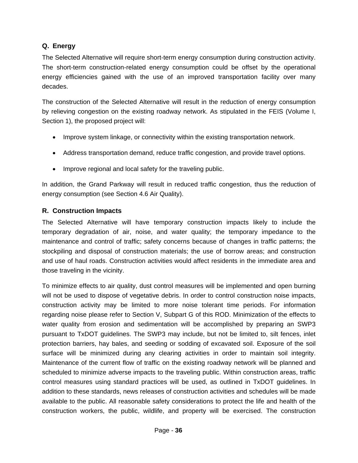### **Q. Energy**

The Selected Alternative will require short-term energy consumption during construction activity. The short-term construction-related energy consumption could be offset by the operational energy efficiencies gained with the use of an improved transportation facility over many decades.

The construction of the Selected Alternative will result in the reduction of energy consumption by relieving congestion on the existing roadway network. As stipulated in the FEIS (Volume I, Section 1), the proposed project will:

- Improve system linkage, or connectivity within the existing transportation network.
- Address transportation demand, reduce traffic congestion, and provide travel options.
- Improve regional and local safety for the traveling public.

In addition, the Grand Parkway will result in reduced traffic congestion, thus the reduction of energy consumption (see Section 4.6 Air Quality).

#### **R. Construction Impacts**

The Selected Alternative will have temporary construction impacts likely to include the temporary degradation of air, noise, and water quality; the temporary impedance to the maintenance and control of traffic; safety concerns because of changes in traffic patterns; the stockpiling and disposal of construction materials; the use of borrow areas; and construction and use of haul roads. Construction activities would affect residents in the immediate area and those traveling in the vicinity.

To minimize effects to air quality, dust control measures will be implemented and open burning will not be used to dispose of vegetative debris. In order to control construction noise impacts, construction activity may be limited to more noise tolerant time periods. For information regarding noise please refer to Section V, Subpart G of this ROD. Minimization of the effects to water quality from erosion and sedimentation will be accomplished by preparing an SWP3 pursuant to TxDOT guidelines. The SWP3 may include, but not be limited to, silt fences, inlet protection barriers, hay bales, and seeding or sodding of excavated soil. Exposure of the soil surface will be minimized during any clearing activities in order to maintain soil integrity. Maintenance of the current flow of traffic on the existing roadway network will be planned and scheduled to minimize adverse impacts to the traveling public. Within construction areas, traffic control measures using standard practices will be used, as outlined in TxDOT guidelines. In addition to these standards, news releases of construction activities and schedules will be made available to the public. All reasonable safety considerations to protect the life and health of the construction workers, the public, wildlife, and property will be exercised. The construction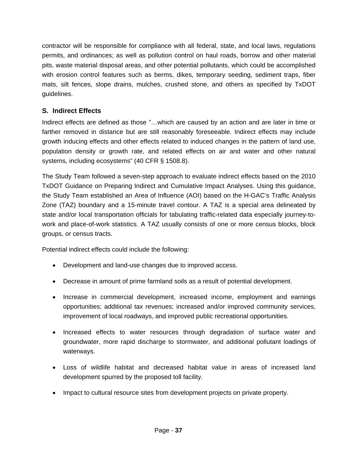contractor will be responsible for compliance with all federal, state, and local laws, regulations permits, and ordinances; as well as pollution control on haul roads, borrow and other material pits, waste material disposal areas, and other potential pollutants, which could be accomplished with erosion control features such as berms, dikes, temporary seeding, sediment traps, fiber mats, silt fences, slope drains, mulches, crushed stone, and others as specified by TxDOT guidelines.

## **S. Indirect Effects**

Indirect effects are defined as those "…which are caused by an action and are later in time or farther removed in distance but are still reasonably foreseeable. Indirect effects may include growth inducing effects and other effects related to induced changes in the pattern of land use, population density or growth rate, and related effects on air and water and other natural systems, including ecosystems" (40 CFR § 1508.8).

The Study Team followed a seven-step approach to evaluate indirect effects based on the 2010 TxDOT Guidance on Preparing Indirect and Cumulative Impact Analyses. Using this guidance, the Study Team established an Area of Influence (AOI) based on the H-GAC's Traffic Analysis Zone (TAZ) boundary and a 15-minute travel contour. A TAZ is a special area delineated by state and/or local transportation officials for tabulating traffic-related data especially journey-towork and place-of-work statistics. A TAZ usually consists of one or more census blocks, block groups, or census tracts.

Potential indirect effects could include the following:

- Development and land-use changes due to improved access.
- Decrease in amount of prime farmland soils as a result of potential development.
- Increase in commercial development, increased income, employment and earnings opportunities; additional tax revenues; increased and/or improved community services, improvement of local roadways, and improved public recreational opportunities.
- Increased effects to water resources through degradation of surface water and groundwater, more rapid discharge to stormwater, and additional pollutant loadings of waterways.
- Loss of wildlife habitat and decreased habitat value in areas of increased land development spurred by the proposed toll facility.
- Impact to cultural resource sites from development projects on private property.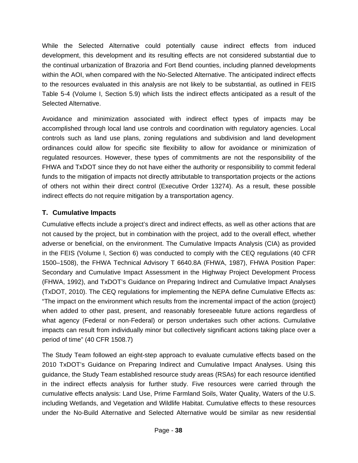While the Selected Alternative could potentially cause indirect effects from induced development, this development and its resulting effects are not considered substantial due to the continual urbanization of Brazoria and Fort Bend counties, including planned developments within the AOI, when compared with the No-Selected Alternative. The anticipated indirect effects to the resources evaluated in this analysis are not likely to be substantial, as outlined in FEIS Table 5-4 (Volume I, Section 5.9) which lists the indirect effects anticipated as a result of the Selected Alternative.

Avoidance and minimization associated with indirect effect types of impacts may be accomplished through local land use controls and coordination with regulatory agencies. Local controls such as land use plans, zoning regulations and subdivision and land development ordinances could allow for specific site flexibility to allow for avoidance or minimization of regulated resources. However, these types of commitments are not the responsibility of the FHWA and TxDOT since they do not have either the authority or responsibility to commit federal funds to the mitigation of impacts not directly attributable to transportation projects or the actions of others not within their direct control (Executive Order 13274). As a result, these possible indirect effects do not require mitigation by a transportation agency.

## **T. Cumulative Impacts**

Cumulative effects include a project's direct and indirect effects, as well as other actions that are not caused by the project, but in combination with the project, add to the overall effect, whether adverse or beneficial, on the environment. The Cumulative Impacts Analysis (CIA) as provided in the FEIS (Volume I, Section 6) was conducted to comply with the CEQ regulations (40 CFR 1500–1508), the FHWA Technical Advisory T 6640.8A (FHWA, 1987), FHWA Position Paper: Secondary and Cumulative Impact Assessment in the Highway Project Development Process (FHWA, 1992), and TxDOT's Guidance on Preparing Indirect and Cumulative Impact Analyses (TxDOT, 2010). The CEQ regulations for implementing the NEPA define Cumulative Effects as: "The impact on the environment which results from the incremental impact of the action (project) when added to other past, present, and reasonably foreseeable future actions regardless of what agency (Federal or non-Federal) or person undertakes such other actions. Cumulative impacts can result from individually minor but collectively significant actions taking place over a period of time" (40 CFR 1508.7)

The Study Team followed an eight-step approach to evaluate cumulative effects based on the 2010 TxDOT's Guidance on Preparing Indirect and Cumulative Impact Analyses. Using this guidance, the Study Team established resource study areas (RSAs) for each resource identified in the indirect effects analysis for further study. Five resources were carried through the cumulative effects analysis: Land Use, Prime Farmland Soils, Water Quality, Waters of the U.S. including Wetlands, and Vegetation and Wildlife Habitat. Cumulative effects to these resources under the No-Build Alternative and Selected Alternative would be similar as new residential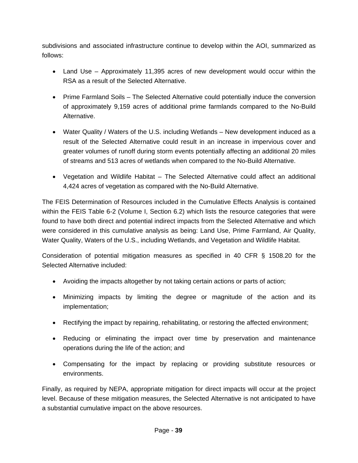subdivisions and associated infrastructure continue to develop within the AOI, summarized as follows:

- Land Use Approximately 11,395 acres of new development would occur within the RSA as a result of the Selected Alternative.
- Prime Farmland Soils The Selected Alternative could potentially induce the conversion of approximately 9,159 acres of additional prime farmlands compared to the No-Build Alternative.
- Water Quality / Waters of the U.S. including Wetlands New development induced as a result of the Selected Alternative could result in an increase in impervious cover and greater volumes of runoff during storm events potentially affecting an additional 20 miles of streams and 513 acres of wetlands when compared to the No-Build Alternative.
- Vegetation and Wildlife Habitat The Selected Alternative could affect an additional 4,424 acres of vegetation as compared with the No-Build Alternative.

The FEIS Determination of Resources included in the Cumulative Effects Analysis is contained within the FEIS Table 6-2 (Volume I, Section 6.2) which lists the resource categories that were found to have both direct and potential indirect impacts from the Selected Alternative and which were considered in this cumulative analysis as being: Land Use, Prime Farmland, Air Quality, Water Quality, Waters of the U.S., including Wetlands, and Vegetation and Wildlife Habitat.

Consideration of potential mitigation measures as specified in 40 CFR § 1508.20 for the Selected Alternative included:

- Avoiding the impacts altogether by not taking certain actions or parts of action;
- Minimizing impacts by limiting the degree or magnitude of the action and its implementation;
- Rectifying the impact by repairing, rehabilitating, or restoring the affected environment;
- Reducing or eliminating the impact over time by preservation and maintenance operations during the life of the action; and
- Compensating for the impact by replacing or providing substitute resources or environments.

Finally, as required by NEPA, appropriate mitigation for direct impacts will occur at the project level. Because of these mitigation measures, the Selected Alternative is not anticipated to have a substantial cumulative impact on the above resources.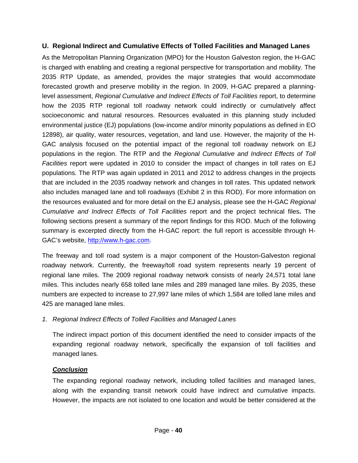### **U. Regional Indirect and Cumulative Effects of Tolled Facilities and Managed Lanes**

As the Metropolitan Planning Organization (MPO) for the Houston Galveston region, the H-GAC is charged with enabling and creating a regional perspective for transportation and mobility. The 2035 RTP Update, as amended, provides the major strategies that would accommodate forecasted growth and preserve mobility in the region. In 2009, H-GAC prepared a planninglevel assessment, *Regional Cumulative and Indirect Effects of Toll Facilities* report, to determine how the 2035 RTP regional toll roadway network could indirectly or cumulatively affect socioeconomic and natural resources. Resources evaluated in this planning study included environmental justice (EJ) populations (low-income and/or minority populations as defined in EO 12898), air quality, water resources, vegetation, and land use. However, the majority of the H-GAC analysis focused on the potential impact of the regional toll roadway network on EJ populations in the region. The RTP and the *Regional Cumulative and Indirect Effects of Toll Facilities* report were updated in 2010 to consider the impact of changes in toll rates on EJ populations. The RTP was again updated in 2011 and 2012 to address changes in the projects that are included in the 2035 roadway network and changes in toll rates. This updated network also includes managed lane and toll roadways (Exhibit 2 in this ROD). For more information on the resources evaluated and for more detail on the EJ analysis, please see the H-GAC *Regional Cumulative and Indirect Effects of Toll Facilities* report and the project technical files**.** The following sections present a summary of the report findings for this ROD. Much of the following summary is excerpted directly from the H-GAC report: the full report is accessible through H-GAC's website, http://www.h-gac.com.

The freeway and toll road system is a major component of the Houston-Galveston regional roadway network. Currently, the freeway/toll road system represents nearly 19 percent of regional lane miles. The 2009 regional roadway network consists of nearly 24,571 total lane miles. This includes nearly 658 tolled lane miles and 289 managed lane miles. By 2035, these numbers are expected to increase to 27,997 lane miles of which 1,584 are tolled lane miles and 425 are managed lane miles.

#### *1. Regional Indirect Effects of Tolled Facilities and Managed Lanes*

The indirect impact portion of this document identified the need to consider impacts of the expanding regional roadway network, specifically the expansion of toll facilities and managed lanes.

## *Conclusion*

The expanding regional roadway network, including tolled facilities and managed lanes, along with the expanding transit network could have indirect and cumulative impacts. However, the impacts are not isolated to one location and would be better considered at the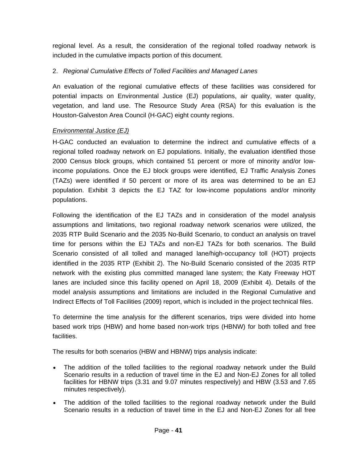regional level. As a result, the consideration of the regional tolled roadway network is included in the cumulative impacts portion of this document.

## 2. *Regional Cumulative Effects of Tolled Facilities and Managed Lanes*

An evaluation of the regional cumulative effects of these facilities was considered for potential impacts on Environmental Justice (EJ) populations, air quality, water quality, vegetation, and land use. The Resource Study Area (RSA) for this evaluation is the Houston-Galveston Area Council (H-GAC) eight county regions.

## *Environmental Justice (EJ)*

H-GAC conducted an evaluation to determine the indirect and cumulative effects of a regional tolled roadway network on EJ populations. Initially, the evaluation identified those 2000 Census block groups, which contained 51 percent or more of minority and/or lowincome populations. Once the EJ block groups were identified, EJ Traffic Analysis Zones (TAZs) were identified if 50 percent or more of its area was determined to be an EJ population. Exhibit 3 depicts the EJ TAZ for low-income populations and/or minority populations.

Following the identification of the EJ TAZs and in consideration of the model analysis assumptions and limitations, two regional roadway network scenarios were utilized, the 2035 RTP Build Scenario and the 2035 No-Build Scenario, to conduct an analysis on travel time for persons within the EJ TAZs and non-EJ TAZs for both scenarios. The Build Scenario consisted of all tolled and managed lane/high-occupancy toll (HOT) projects identified in the 2035 RTP (Exhibit 2). The No-Build Scenario consisted of the 2035 RTP network with the existing plus committed managed lane system; the Katy Freeway HOT lanes are included since this facility opened on April 18, 2009 (Exhibit 4). Details of the model analysis assumptions and limitations are included in the Regional Cumulative and Indirect Effects of Toll Facilities (2009) report, which is included in the project technical files.

To determine the time analysis for the different scenarios, trips were divided into home based work trips (HBW) and home based non-work trips (HBNW) for both tolled and free facilities.

The results for both scenarios (HBW and HBNW) trips analysis indicate:

- The addition of the tolled facilities to the regional roadway network under the Build Scenario results in a reduction of travel time in the EJ and Non-EJ Zones for all tolled facilities for HBNW trips (3.31 and 9.07 minutes respectively) and HBW (3.53 and 7.65 minutes respectively).
- The addition of the tolled facilities to the regional roadway network under the Build Scenario results in a reduction of travel time in the EJ and Non-EJ Zones for all free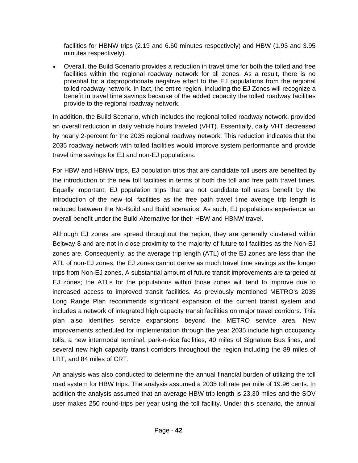facilities for HBNW trips (2.19 and 6.60 minutes respectively) and HBW (1.93 and 3.95 minutes respectively).

 Overall, the Build Scenario provides a reduction in travel time for both the tolled and free facilities within the regional roadway network for all zones. As a result, there is no potential for a disproportionate negative effect to the EJ populations from the regional tolled roadway network. In fact, the entire region, including the EJ Zones will recognize a benefit in travel time savings because of the added capacity the tolled roadway facilities provide to the regional roadway network.

In addition, the Build Scenario, which includes the regional tolled roadway network, provided an overall reduction in daily vehicle hours traveled (VHT). Essentially, daily VHT decreased by nearly 2-percent for the 2035 regional roadway network. This reduction indicates that the 2035 roadway network with tolled facilities would improve system performance and provide travel time savings for EJ and non-EJ populations.

For HBW and HBNW trips, EJ population trips that are candidate toll users are benefited by the introduction of the new toll facilities in terms of both the toll and free path travel times. Equally important, EJ population trips that are not candidate toll users benefit by the introduction of the new toll facilities as the free path travel time average trip length is reduced between the No-Build and Build scenarios. As such, EJ populations experience an overall benefit under the Build Alternative for their HBW and HBNW travel.

Although EJ zones are spread throughout the region, they are generally clustered within Beltway 8 and are not in close proximity to the majority of future toll facilities as the Non-EJ zones are. Consequently, as the average trip length (ATL) of the EJ zones are less than the ATL of non-EJ zones, the EJ zones cannot derive as much travel time savings as the longer trips from Non-EJ zones. A substantial amount of future transit improvements are targeted at EJ zones; the ATLs for the populations within those zones will tend to improve due to increased access to improved transit facilities. As previously mentioned METRO's 2035 Long Range Plan recommends significant expansion of the current transit system and includes a network of integrated high capacity transit facilities on major travel corridors. This plan also identifies service expansions beyond the METRO service area. New improvements scheduled for implementation through the year 2035 include high occupancy tolls, a new intermodal terminal, park-n-ride facilities, 40 miles of Signature Bus lines, and several new high capacity transit corridors throughout the region including the 89 miles of LRT, and 84 miles of CRT.

An analysis was also conducted to determine the annual financial burden of utilizing the toll road system for HBW trips. The analysis assumed a 2035 toll rate per mile of 19.96 cents. In addition the analysis assumed that an average HBW trip length is 23.30 miles and the SOV user makes 250 round-trips per year using the toll facility. Under this scenario, the annual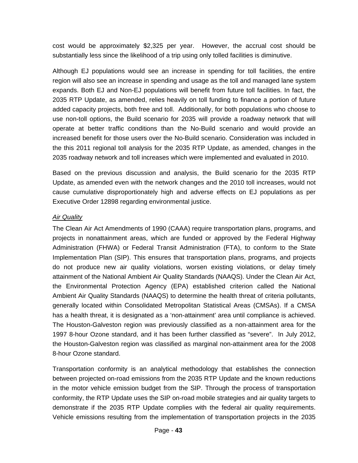cost would be approximately \$2,325 per year. However, the accrual cost should be substantially less since the likelihood of a trip using only tolled facilities is diminutive.

Although EJ populations would see an increase in spending for toll facilities, the entire region will also see an increase in spending and usage as the toll and managed lane system expands. Both EJ and Non-EJ populations will benefit from future toll facilities. In fact, the 2035 RTP Update, as amended, relies heavily on toll funding to finance a portion of future added capacity projects, both free and toll. Additionally, for both populations who choose to use non-toll options, the Build scenario for 2035 will provide a roadway network that will operate at better traffic conditions than the No-Build scenario and would provide an increased benefit for those users over the No-Build scenario. Consideration was included in the this 2011 regional toll analysis for the 2035 RTP Update, as amended, changes in the 2035 roadway network and toll increases which were implemented and evaluated in 2010.

Based on the previous discussion and analysis, the Build scenario for the 2035 RTP Update, as amended even with the network changes and the 2010 toll increases, would not cause cumulative disproportionately high and adverse effects on EJ populations as per Executive Order 12898 regarding environmental justice.

#### *Air Quality*

The Clean Air Act Amendments of 1990 (CAAA) require transportation plans, programs, and projects in nonattainment areas, which are funded or approved by the Federal Highway Administration (FHWA) or Federal Transit Administration (FTA), to conform to the State Implementation Plan (SIP). This ensures that transportation plans, programs, and projects do not produce new air quality violations, worsen existing violations, or delay timely attainment of the National Ambient Air Quality Standards (NAAQS). Under the Clean Air Act, the Environmental Protection Agency (EPA) established criterion called the National Ambient Air Quality Standards (NAAQS) to determine the health threat of criteria pollutants, generally located within Consolidated Metropolitan Statistical Areas (CMSAs). If a CMSA has a health threat, it is designated as a 'non-attainment' area until compliance is achieved. The Houston-Galveston region was previously classified as a non-attainment area for the 1997 8-hour Ozone standard, and it has been further classified as "severe". In July 2012, the Houston-Galveston region was classified as marginal non-attainment area for the 2008 8-hour Ozone standard.

Transportation conformity is an analytical methodology that establishes the connection between projected on-road emissions from the 2035 RTP Update and the known reductions in the motor vehicle emission budget from the SIP. Through the process of transportation conformity, the RTP Update uses the SIP on-road mobile strategies and air quality targets to demonstrate if the 2035 RTP Update complies with the federal air quality requirements. Vehicle emissions resulting from the implementation of transportation projects in the 2035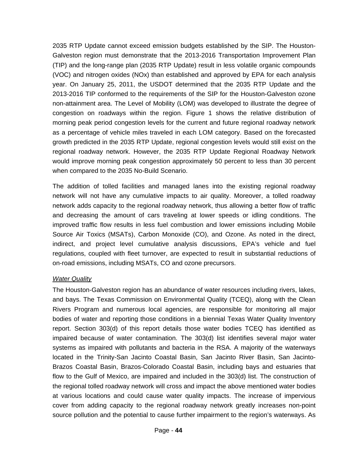2035 RTP Update cannot exceed emission budgets established by the SIP. The Houston-Galveston region must demonstrate that the 2013-2016 Transportation Improvement Plan (TIP) and the long-range plan (2035 RTP Update) result in less volatile organic compounds (VOC) and nitrogen oxides (NOx) than established and approved by EPA for each analysis year. On January 25, 2011, the USDOT determined that the 2035 RTP Update and the 2013-2016 TIP conformed to the requirements of the SIP for the Houston-Galveston ozone non-attainment area. The Level of Mobility (LOM) was developed to illustrate the degree of congestion on roadways within the region. Figure 1 shows the relative distribution of morning peak period congestion levels for the current and future regional roadway network as a percentage of vehicle miles traveled in each LOM category. Based on the forecasted growth predicted in the 2035 RTP Update, regional congestion levels would still exist on the regional roadway network. However, the 2035 RTP Update Regional Roadway Network would improve morning peak congestion approximately 50 percent to less than 30 percent when compared to the 2035 No-Build Scenario.

The addition of tolled facilities and managed lanes into the existing regional roadway network will not have any cumulative impacts to air quality. Moreover, a tolled roadway network adds capacity to the regional roadway network, thus allowing a better flow of traffic and decreasing the amount of cars traveling at lower speeds or idling conditions. The improved traffic flow results in less fuel combustion and lower emissions including Mobile Source Air Toxics (MSATs), Carbon Monoxide (CO), and Ozone. As noted in the direct, indirect, and project level cumulative analysis discussions, EPA's vehicle and fuel regulations, coupled with fleet turnover, are expected to result in substantial reductions of on-road emissions, including MSATs, CO and ozone precursors.

#### *Water Quality*

The Houston-Galveston region has an abundance of water resources including rivers, lakes, and bays. The Texas Commission on Environmental Quality (TCEQ), along with the Clean Rivers Program and numerous local agencies, are responsible for monitoring all major bodies of water and reporting those conditions in a biennial Texas Water Quality Inventory report. Section 303(d) of this report details those water bodies TCEQ has identified as impaired because of water contamination. The 303(d) list identifies several major water systems as impaired with pollutants and bacteria in the RSA. A majority of the waterways located in the Trinity-San Jacinto Coastal Basin, San Jacinto River Basin, San Jacinto-Brazos Coastal Basin, Brazos-Colorado Coastal Basin, including bays and estuaries that flow to the Gulf of Mexico, are impaired and included in the 303(d) list. The construction of the regional tolled roadway network will cross and impact the above mentioned water bodies at various locations and could cause water quality impacts. The increase of impervious cover from adding capacity to the regional roadway network greatly increases non-point source pollution and the potential to cause further impairment to the region's waterways. As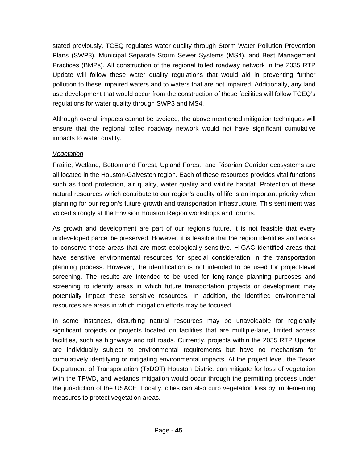stated previously, TCEQ regulates water quality through Storm Water Pollution Prevention Plans (SWP3), Municipal Separate Storm Sewer Systems (MS4), and Best Management Practices (BMPs). All construction of the regional tolled roadway network in the 2035 RTP Update will follow these water quality regulations that would aid in preventing further pollution to these impaired waters and to waters that are not impaired. Additionally, any land use development that would occur from the construction of these facilities will follow TCEQ's regulations for water quality through SWP3 and MS4.

Although overall impacts cannot be avoided, the above mentioned mitigation techniques will ensure that the regional tolled roadway network would not have significant cumulative impacts to water quality.

#### *Vegetation*

Prairie, Wetland, Bottomland Forest, Upland Forest, and Riparian Corridor ecosystems are all located in the Houston-Galveston region. Each of these resources provides vital functions such as flood protection, air quality, water quality and wildlife habitat. Protection of these natural resources which contribute to our region's quality of life is an important priority when planning for our region's future growth and transportation infrastructure. This sentiment was voiced strongly at the Envision Houston Region workshops and forums.

As growth and development are part of our region's future, it is not feasible that every undeveloped parcel be preserved. However, it is feasible that the region identifies and works to conserve those areas that are most ecologically sensitive. H-GAC identified areas that have sensitive environmental resources for special consideration in the transportation planning process. However, the identification is not intended to be used for project-level screening. The results are intended to be used for long-range planning purposes and screening to identify areas in which future transportation projects or development may potentially impact these sensitive resources. In addition, the identified environmental resources are areas in which mitigation efforts may be focused.

In some instances, disturbing natural resources may be unavoidable for regionally significant projects or projects located on facilities that are multiple-lane, limited access facilities, such as highways and toll roads. Currently, projects within the 2035 RTP Update are individually subject to environmental requirements but have no mechanism for cumulatively identifying or mitigating environmental impacts. At the project level, the Texas Department of Transportation (TxDOT) Houston District can mitigate for loss of vegetation with the TPWD, and wetlands mitigation would occur through the permitting process under the jurisdiction of the USACE. Locally, cities can also curb vegetation loss by implementing measures to protect vegetation areas.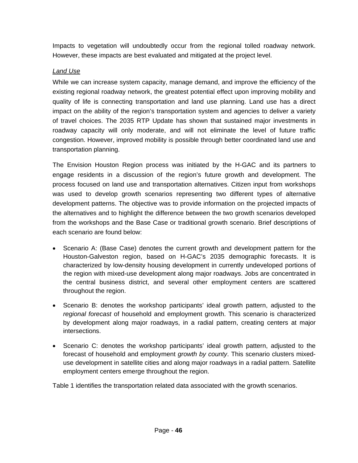Impacts to vegetation will undoubtedly occur from the regional tolled roadway network. However, these impacts are best evaluated and mitigated at the project level.

### *Land Use*

While we can increase system capacity, manage demand, and improve the efficiency of the existing regional roadway network, the greatest potential effect upon improving mobility and quality of life is connecting transportation and land use planning. Land use has a direct impact on the ability of the region's transportation system and agencies to deliver a variety of travel choices. The 2035 RTP Update has shown that sustained major investments in roadway capacity will only moderate, and will not eliminate the level of future traffic congestion. However, improved mobility is possible through better coordinated land use and transportation planning.

The Envision Houston Region process was initiated by the H-GAC and its partners to engage residents in a discussion of the region's future growth and development. The process focused on land use and transportation alternatives. Citizen input from workshops was used to develop growth scenarios representing two different types of alternative development patterns. The objective was to provide information on the projected impacts of the alternatives and to highlight the difference between the two growth scenarios developed from the workshops and the Base Case or traditional growth scenario. Brief descriptions of each scenario are found below:

- Scenario A: (Base Case) denotes the current growth and development pattern for the Houston-Galveston region, based on H-GAC's 2035 demographic forecasts. It is characterized by low-density housing development in currently undeveloped portions of the region with mixed-use development along major roadways. Jobs are concentrated in the central business district, and several other employment centers are scattered throughout the region.
- Scenario B: denotes the workshop participants' ideal growth pattern, adjusted to the *regional forecast* of household and employment growth. This scenario is characterized by development along major roadways, in a radial pattern, creating centers at major intersections.
- Scenario C: denotes the workshop participants' ideal growth pattern, adjusted to the forecast of household and employment *growth by county*. This scenario clusters mixeduse development in satellite cities and along major roadways in a radial pattern. Satellite employment centers emerge throughout the region.

Table 1 identifies the transportation related data associated with the growth scenarios.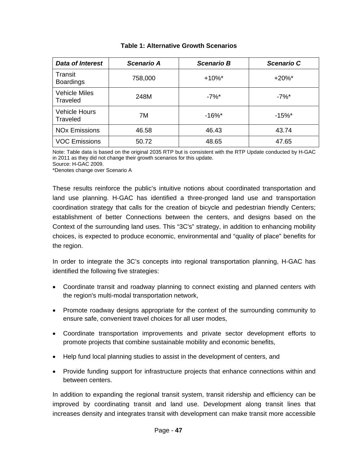| <b>Data of Interest</b>          | Scenario A | <b>Scenario B</b>    | <b>Scenario C</b> |  |  |
|----------------------------------|------------|----------------------|-------------------|--|--|
| Transit<br><b>Boardings</b>      | 758,000    | $+10\%$ <sup>*</sup> | $+20\%$ *         |  |  |
| <b>Vehicle Miles</b><br>Traveled | 248M       | $-7%$ *              | $-7%$ *           |  |  |
| <b>Vehicle Hours</b><br>Traveled | 7M         | $-16%$ *             | $-15%$            |  |  |
| <b>NO<sub>x</sub></b> Emissions  | 46.58      | 46.43                | 43.74             |  |  |
| <b>VOC Emissions</b>             | 50.72      | 48.65                | 47.65             |  |  |

#### **Table 1: Alternative Growth Scenarios**

Note: Table data is based on the original 2035 RTP but is consistent with the RTP Update conducted by H-GAC in 2011 as they did not change their growth scenarios for this update.

Source: H-GAC 2009.

\*Denotes change over Scenario A

These results reinforce the public's intuitive notions about coordinated transportation and land use planning. H-GAC has identified a three-pronged land use and transportation coordination strategy that calls for the creation of bicycle and pedestrian friendly Centers; establishment of better Connections between the centers, and designs based on the Context of the surrounding land uses. This "3C's" strategy, in addition to enhancing mobility choices, is expected to produce economic, environmental and "quality of place" benefits for the region.

In order to integrate the 3C's concepts into regional transportation planning, H-GAC has identified the following five strategies:

- Coordinate transit and roadway planning to connect existing and planned centers with the region's multi-modal transportation network,
- Promote roadway designs appropriate for the context of the surrounding community to ensure safe, convenient travel choices for all user modes,
- Coordinate transportation improvements and private sector development efforts to promote projects that combine sustainable mobility and economic benefits,
- Help fund local planning studies to assist in the development of centers, and
- Provide funding support for infrastructure projects that enhance connections within and between centers.

In addition to expanding the regional transit system, transit ridership and efficiency can be improved by coordinating transit and land use. Development along transit lines that increases density and integrates transit with development can make transit more accessible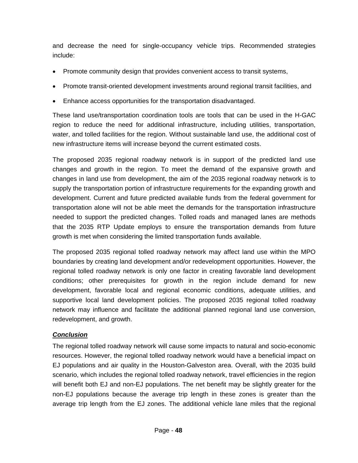and decrease the need for single-occupancy vehicle trips. Recommended strategies include:

- Promote community design that provides convenient access to transit systems,
- Promote transit-oriented development investments around regional transit facilities, and
- Enhance access opportunities for the transportation disadvantaged.

These land use/transportation coordination tools are tools that can be used in the H-GAC region to reduce the need for additional infrastructure, including utilities, transportation, water, and tolled facilities for the region. Without sustainable land use, the additional cost of new infrastructure items will increase beyond the current estimated costs.

The proposed 2035 regional roadway network is in support of the predicted land use changes and growth in the region. To meet the demand of the expansive growth and changes in land use from development, the aim of the 2035 regional roadway network is to supply the transportation portion of infrastructure requirements for the expanding growth and development. Current and future predicted available funds from the federal government for transportation alone will not be able meet the demands for the transportation infrastructure needed to support the predicted changes. Tolled roads and managed lanes are methods that the 2035 RTP Update employs to ensure the transportation demands from future growth is met when considering the limited transportation funds available.

The proposed 2035 regional tolled roadway network may affect land use within the MPO boundaries by creating land development and/or redevelopment opportunities. However, the regional tolled roadway network is only one factor in creating favorable land development conditions; other prerequisites for growth in the region include demand for new development, favorable local and regional economic conditions, adequate utilities, and supportive local land development policies. The proposed 2035 regional tolled roadway network may influence and facilitate the additional planned regional land use conversion, redevelopment, and growth.

## *Conclusion*

The regional tolled roadway network will cause some impacts to natural and socio-economic resources. However, the regional tolled roadway network would have a beneficial impact on EJ populations and air quality in the Houston-Galveston area. Overall, with the 2035 build scenario, which includes the regional tolled roadway network, travel efficiencies in the region will benefit both EJ and non-EJ populations. The net benefit may be slightly greater for the non-EJ populations because the average trip length in these zones is greater than the average trip length from the EJ zones. The additional vehicle lane miles that the regional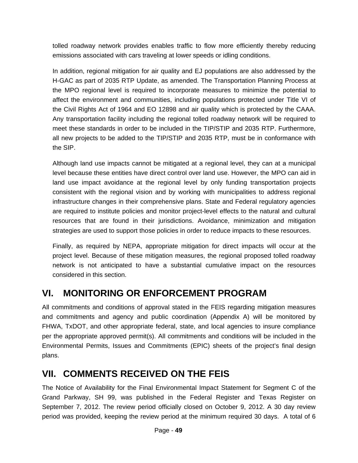tolled roadway network provides enables traffic to flow more efficiently thereby reducing emissions associated with cars traveling at lower speeds or idling conditions.

In addition, regional mitigation for air quality and EJ populations are also addressed by the H-GAC as part of 2035 RTP Update, as amended. The Transportation Planning Process at the MPO regional level is required to incorporate measures to minimize the potential to affect the environment and communities, including populations protected under Title VI of the Civil Rights Act of 1964 and EO 12898 and air quality which is protected by the CAAA. Any transportation facility including the regional tolled roadway network will be required to meet these standards in order to be included in the TIP/STIP and 2035 RTP. Furthermore, all new projects to be added to the TIP/STIP and 2035 RTP, must be in conformance with the SIP.

Although land use impacts cannot be mitigated at a regional level, they can at a municipal level because these entities have direct control over land use. However, the MPO can aid in land use impact avoidance at the regional level by only funding transportation projects consistent with the regional vision and by working with municipalities to address regional infrastructure changes in their comprehensive plans. State and Federal regulatory agencies are required to institute policies and monitor project-level effects to the natural and cultural resources that are found in their jurisdictions. Avoidance, minimization and mitigation strategies are used to support those policies in order to reduce impacts to these resources.

Finally, as required by NEPA, appropriate mitigation for direct impacts will occur at the project level. Because of these mitigation measures, the regional proposed tolled roadway network is not anticipated to have a substantial cumulative impact on the resources considered in this section.

## **VI. MONITORING OR ENFORCEMENT PROGRAM**

All commitments and conditions of approval stated in the FEIS regarding mitigation measures and commitments and agency and public coordination (Appendix A) will be monitored by FHWA, TxDOT, and other appropriate federal, state, and local agencies to insure compliance per the appropriate approved permit(s). All commitments and conditions will be included in the Environmental Permits, Issues and Commitments (EPIC) sheets of the project's final design plans.

## **VII. COMMENTS RECEIVED ON THE FEIS**

The Notice of Availability for the Final Environmental Impact Statement for Segment C of the Grand Parkway, SH 99, was published in the Federal Register and Texas Register on September 7, 2012. The review period officially closed on October 9, 2012. A 30 day review period was provided, keeping the review period at the minimum required 30 days. A total of 6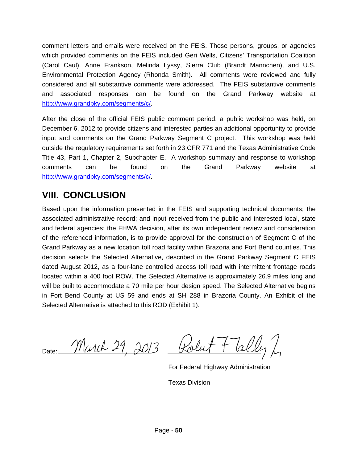comment letters and emails were received on the FEIS. Those persons, groups, or agencies which provided comments on the FEIS included Geri Wells, Citizens' Transportation Coalition (Carol Caul), Anne Frankson, Melinda Lyssy, Sierra Club (Brandt Mannchen), and U.S. Environmental Protection Agency (Rhonda Smith). All comments were reviewed and fully considered and all substantive comments were addressed. The FEIS substantive comments and associated responses can be found on the Grand Parkway website at http://www.grandpky.com/segments/c/.

After the close of the official FEIS public comment period, a public workshop was held, on December 6, 2012 to provide citizens and interested parties an additional opportunity to provide input and comments on the Grand Parkway Segment C project. This workshop was held outside the regulatory requirements set forth in 23 CFR 771 and the Texas Administrative Code Title 43, Part 1, Chapter 2, Subchapter E. A workshop summary and response to workshop comments can be found on the Grand Parkway website at http://www.grandpky.com/segments/c/.

## **VIII. CONCLUSION**

Based upon the information presented in the FEIS and supporting technical documents; the associated administrative record; and input received from the public and interested local, state and federal agencies; the FHWA decision, after its own independent review and consideration of the referenced information, is to provide approval for the construction of Segment C of the Grand Parkway as a new location toll road facility within Brazoria and Fort Bend counties. This decision selects the Selected Alternative, described in the Grand Parkway Segment C FEIS dated August 2012, as a four-lane controlled access toll road with intermittent frontage roads located within a 400 foot ROW. The Selected Alternative is approximately 26.9 miles long and will be built to accommodate a 70 mile per hour design speed. The Selected Alternative begins in Fort Bend County at US 59 and ends at SH 288 in Brazoria County. An Exhibit of the Selected Alternative is attached to this ROD (Exhibit 1).

March 29, 2013 Date:

For Federal Highway Administration

Texas Division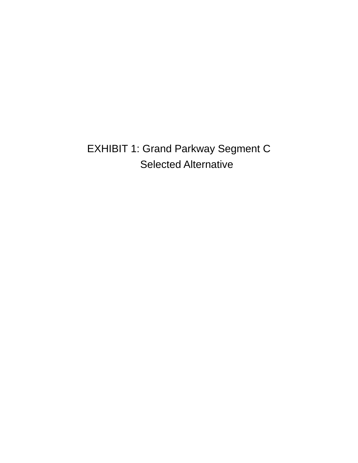EXHIBIT 1: Grand Parkway Segment C Selected Alternative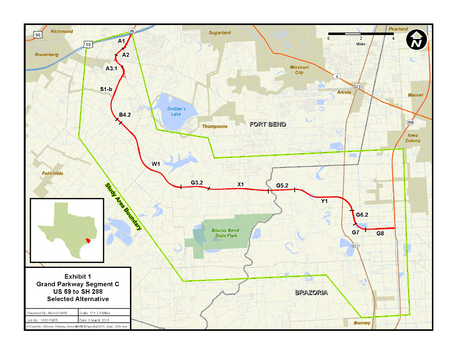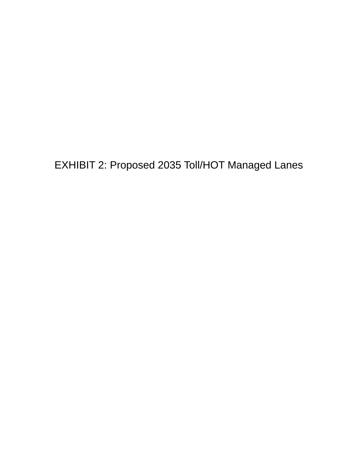EXHIBIT 2: Proposed 2035 Toll/HOT Managed Lanes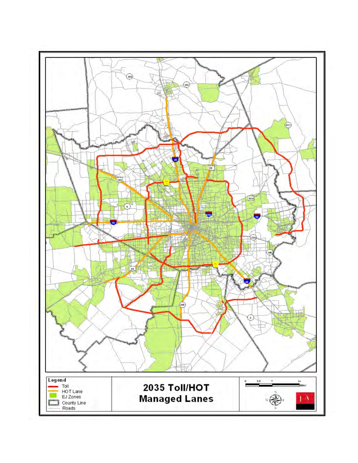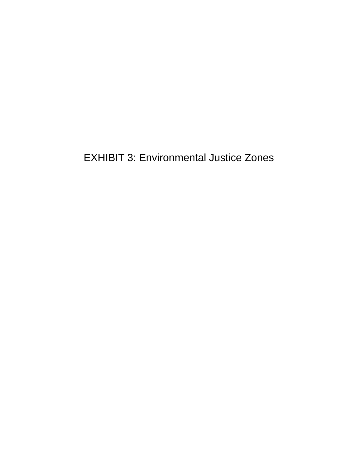EXHIBIT 3: Environmental Justice Zones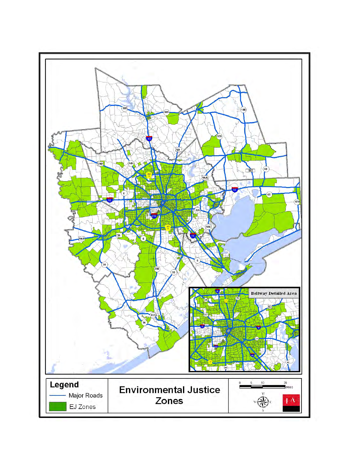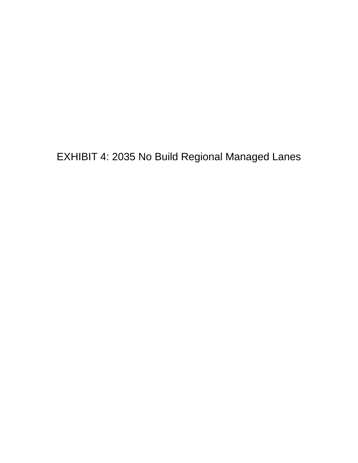EXHIBIT 4: 2035 No Build Regional Managed Lanes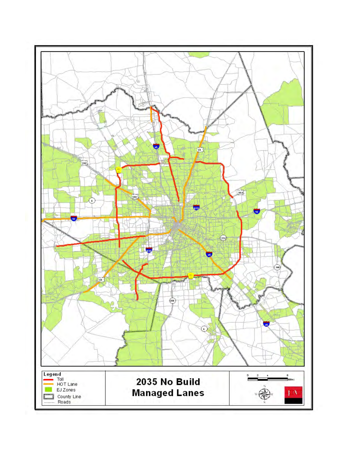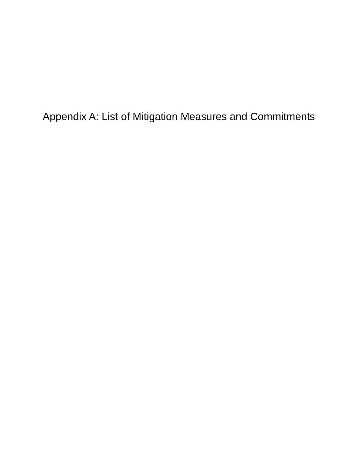Appendix A: List of Mitigation Measures and Commitments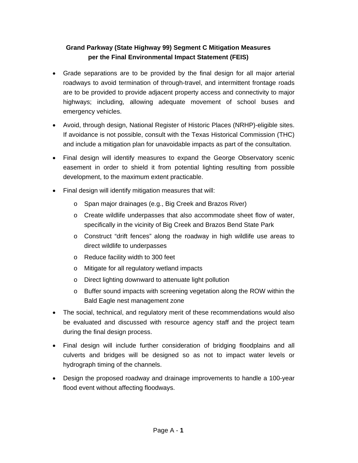## **Grand Parkway (State Highway 99) Segment C Mitigation Measures per the Final Environmental Impact Statement (FEIS)**

- Grade separations are to be provided by the final design for all major arterial roadways to avoid termination of through-travel, and intermittent frontage roads are to be provided to provide adjacent property access and connectivity to major highways; including, allowing adequate movement of school buses and emergency vehicles.
- Avoid, through design, National Register of Historic Places (NRHP)-eligible sites. If avoidance is not possible, consult with the Texas Historical Commission (THC) and include a mitigation plan for unavoidable impacts as part of the consultation.
- Final design will identify measures to expand the George Observatory scenic easement in order to shield it from potential lighting resulting from possible development, to the maximum extent practicable.
- Final design will identify mitigation measures that will:
	- o Span major drainages (e.g., Big Creek and Brazos River)
	- o Create wildlife underpasses that also accommodate sheet flow of water, specifically in the vicinity of Big Creek and Brazos Bend State Park
	- o Construct "drift fences" along the roadway in high wildlife use areas to direct wildlife to underpasses
	- o Reduce facility width to 300 feet
	- o Mitigate for all regulatory wetland impacts
	- o Direct lighting downward to attenuate light pollution
	- o Buffer sound impacts with screening vegetation along the ROW within the Bald Eagle nest management zone
- The social, technical, and regulatory merit of these recommendations would also be evaluated and discussed with resource agency staff and the project team during the final design process.
- Final design will include further consideration of bridging floodplains and all culverts and bridges will be designed so as not to impact water levels or hydrograph timing of the channels.
- Design the proposed roadway and drainage improvements to handle a 100-year flood event without affecting floodways.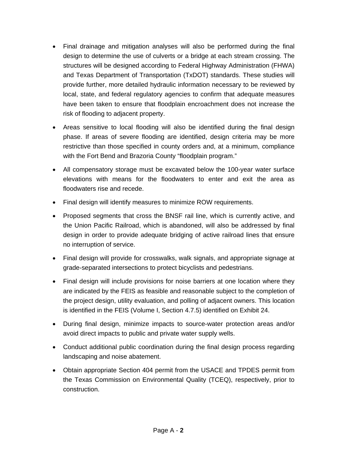- Final drainage and mitigation analyses will also be performed during the final design to determine the use of culverts or a bridge at each stream crossing. The structures will be designed according to Federal Highway Administration (FHWA) and Texas Department of Transportation (TxDOT) standards. These studies will provide further, more detailed hydraulic information necessary to be reviewed by local, state, and federal regulatory agencies to confirm that adequate measures have been taken to ensure that floodplain encroachment does not increase the risk of flooding to adjacent property.
- Areas sensitive to local flooding will also be identified during the final design phase. If areas of severe flooding are identified, design criteria may be more restrictive than those specified in county orders and, at a minimum, compliance with the Fort Bend and Brazoria County "floodplain program."
- All compensatory storage must be excavated below the 100-year water surface elevations with means for the floodwaters to enter and exit the area as floodwaters rise and recede.
- Final design will identify measures to minimize ROW requirements.
- Proposed segments that cross the BNSF rail line, which is currently active, and the Union Pacific Railroad, which is abandoned, will also be addressed by final design in order to provide adequate bridging of active railroad lines that ensure no interruption of service.
- Final design will provide for crosswalks, walk signals, and appropriate signage at grade-separated intersections to protect bicyclists and pedestrians.
- Final design will include provisions for noise barriers at one location where they are indicated by the FEIS as feasible and reasonable subject to the completion of the project design, utility evaluation, and polling of adjacent owners. This location is identified in the FEIS (Volume I, Section 4.7.5) identified on Exhibit 24.
- During final design, minimize impacts to source-water protection areas and/or avoid direct impacts to public and private water supply wells.
- Conduct additional public coordination during the final design process regarding landscaping and noise abatement.
- Obtain appropriate Section 404 permit from the USACE and TPDES permit from the Texas Commission on Environmental Quality (TCEQ), respectively, prior to construction.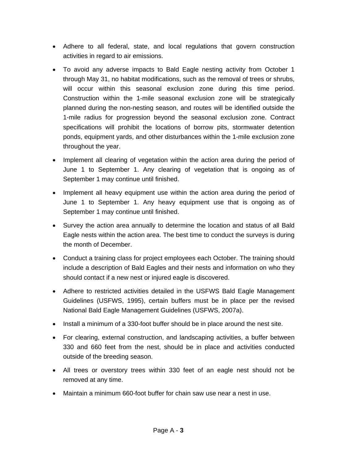- Adhere to all federal, state, and local regulations that govern construction activities in regard to air emissions.
- To avoid any adverse impacts to Bald Eagle nesting activity from October 1 through May 31, no habitat modifications, such as the removal of trees or shrubs, will occur within this seasonal exclusion zone during this time period. Construction within the 1-mile seasonal exclusion zone will be strategically planned during the non-nesting season, and routes will be identified outside the 1-mile radius for progression beyond the seasonal exclusion zone. Contract specifications will prohibit the locations of borrow pits, stormwater detention ponds, equipment yards, and other disturbances within the 1-mile exclusion zone throughout the year.
- Implement all clearing of vegetation within the action area during the period of June 1 to September 1. Any clearing of vegetation that is ongoing as of September 1 may continue until finished.
- Implement all heavy equipment use within the action area during the period of June 1 to September 1. Any heavy equipment use that is ongoing as of September 1 may continue until finished.
- Survey the action area annually to determine the location and status of all Bald Eagle nests within the action area. The best time to conduct the surveys is during the month of December.
- Conduct a training class for project employees each October. The training should include a description of Bald Eagles and their nests and information on who they should contact if a new nest or injured eagle is discovered.
- Adhere to restricted activities detailed in the USFWS Bald Eagle Management Guidelines (USFWS, 1995), certain buffers must be in place per the revised National Bald Eagle Management Guidelines (USFWS, 2007a).
- Install a minimum of a 330-foot buffer should be in place around the nest site.
- For clearing, external construction, and landscaping activities, a buffer between 330 and 660 feet from the nest, should be in place and activities conducted outside of the breeding season.
- All trees or overstory trees within 330 feet of an eagle nest should not be removed at any time.
- Maintain a minimum 660-foot buffer for chain saw use near a nest in use.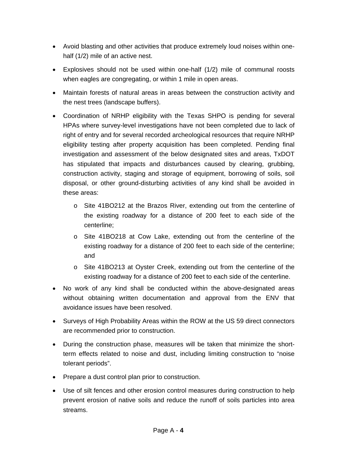- Avoid blasting and other activities that produce extremely loud noises within onehalf (1/2) mile of an active nest.
- Explosives should not be used within one-half (1/2) mile of communal roosts when eagles are congregating, or within 1 mile in open areas.
- Maintain forests of natural areas in areas between the construction activity and the nest trees (landscape buffers).
- Coordination of NRHP eligibility with the Texas SHPO is pending for several HPAs where survey-level investigations have not been completed due to lack of right of entry and for several recorded archeological resources that require NRHP eligibility testing after property acquisition has been completed. Pending final investigation and assessment of the below designated sites and areas, TxDOT has stipulated that impacts and disturbances caused by clearing, grubbing, construction activity, staging and storage of equipment, borrowing of soils, soil disposal, or other ground-disturbing activities of any kind shall be avoided in these areas:
	- o Site 41BO212 at the Brazos River, extending out from the centerline of the existing roadway for a distance of 200 feet to each side of the centerline;
	- o Site 41BO218 at Cow Lake, extending out from the centerline of the existing roadway for a distance of 200 feet to each side of the centerline; and
	- o Site 41BO213 at Oyster Creek, extending out from the centerline of the existing roadway for a distance of 200 feet to each side of the centerline.
- No work of any kind shall be conducted within the above-designated areas without obtaining written documentation and approval from the ENV that avoidance issues have been resolved.
- Surveys of High Probability Areas within the ROW at the US 59 direct connectors are recommended prior to construction.
- During the construction phase, measures will be taken that minimize the shortterm effects related to noise and dust, including limiting construction to "noise tolerant periods".
- Prepare a dust control plan prior to construction.
- Use of silt fences and other erosion control measures during construction to help prevent erosion of native soils and reduce the runoff of soils particles into area streams.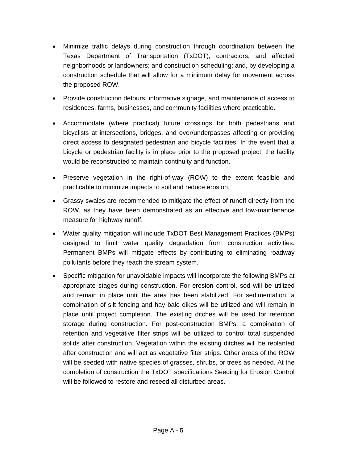- Minimize traffic delays during construction through coordination between the Texas Department of Transportation (TxDOT), contractors, and affected neighborhoods or landowners; and construction scheduling; and, by developing a construction schedule that will allow for a minimum delay for movement across the proposed ROW.
- Provide construction detours, informative signage, and maintenance of access to residences, farms, businesses, and community facilities where practicable.
- Accommodate (where practical) future crossings for both pedestrians and bicyclists at intersections, bridges, and over/underpasses affecting or providing direct access to designated pedestrian and bicycle facilities. In the event that a bicycle or pedestrian facility is in place prior to the proposed project, the facility would be reconstructed to maintain continuity and function.
- Preserve vegetation in the right-of-way (ROW) to the extent feasible and practicable to minimize impacts to soil and reduce erosion.
- Grassy swales are recommended to mitigate the effect of runoff directly from the ROW, as they have been demonstrated as an effective and low-maintenance measure for highway runoff.
- Water quality mitigation will include TxDOT Best Management Practices (BMPs) designed to limit water quality degradation from construction activities. Permanent BMPs will mitigate effects by contributing to eliminating roadway pollutants before they reach the stream system.
- Specific mitigation for unavoidable impacts will incorporate the following BMPs at appropriate stages during construction. For erosion control, sod will be utilized and remain in place until the area has been stabilized. For sedimentation, a combination of silt fencing and hay bale dikes will be utilized and will remain in place until project completion. The existing ditches will be used for retention storage during construction. For post-construction BMPs, a combination of retention and vegetative filter strips will be utilized to control total suspended solids after construction. Vegetation within the existing ditches will be replanted after construction and will act as vegetative filter strips. Other areas of the ROW will be seeded with native species of grasses, shrubs, or trees as needed. At the completion of construction the TxDOT specifications Seeding for Erosion Control will be followed to restore and reseed all disturbed areas.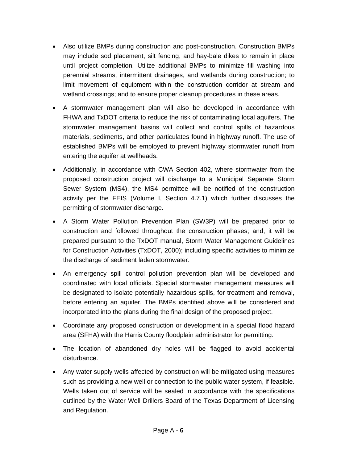- Also utilize BMPs during construction and post-construction. Construction BMPs may include sod placement, silt fencing, and hay-bale dikes to remain in place until project completion. Utilize additional BMPs to minimize fill washing into perennial streams, intermittent drainages, and wetlands during construction; to limit movement of equipment within the construction corridor at stream and wetland crossings; and to ensure proper cleanup procedures in these areas.
- A stormwater management plan will also be developed in accordance with FHWA and TxDOT criteria to reduce the risk of contaminating local aquifers. The stormwater management basins will collect and control spills of hazardous materials, sediments, and other particulates found in highway runoff. The use of established BMPs will be employed to prevent highway stormwater runoff from entering the aquifer at wellheads.
- Additionally, in accordance with CWA Section 402, where stormwater from the proposed construction project will discharge to a Municipal Separate Storm Sewer System (MS4), the MS4 permittee will be notified of the construction activity per the FEIS (Volume I, Section 4.7.1) which further discusses the permitting of stormwater discharge.
- A Storm Water Pollution Prevention Plan (SW3P) will be prepared prior to construction and followed throughout the construction phases; and, it will be prepared pursuant to the TxDOT manual, Storm Water Management Guidelines for Construction Activities (TxDOT, 2000); including specific activities to minimize the discharge of sediment laden stormwater.
- An emergency spill control pollution prevention plan will be developed and coordinated with local officials. Special stormwater management measures will be designated to isolate potentially hazardous spills, for treatment and removal, before entering an aquifer. The BMPs identified above will be considered and incorporated into the plans during the final design of the proposed project.
- Coordinate any proposed construction or development in a special flood hazard area (SFHA) with the Harris County floodplain administrator for permitting.
- The location of abandoned dry holes will be flagged to avoid accidental disturbance.
- Any water supply wells affected by construction will be mitigated using measures such as providing a new well or connection to the public water system, if feasible. Wells taken out of service will be sealed in accordance with the specifications outlined by the Water Well Drillers Board of the Texas Department of Licensing and Regulation.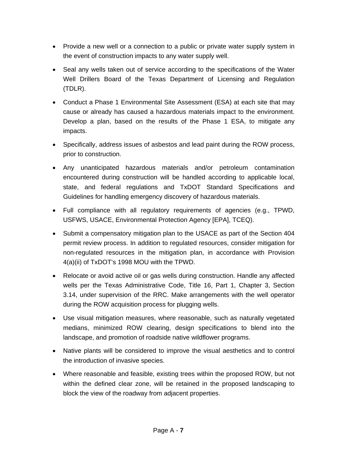- Provide a new well or a connection to a public or private water supply system in the event of construction impacts to any water supply well.
- Seal any wells taken out of service according to the specifications of the Water Well Drillers Board of the Texas Department of Licensing and Regulation (TDLR).
- Conduct a Phase 1 Environmental Site Assessment (ESA) at each site that may cause or already has caused a hazardous materials impact to the environment. Develop a plan, based on the results of the Phase 1 ESA, to mitigate any impacts.
- Specifically, address issues of asbestos and lead paint during the ROW process, prior to construction.
- Any unanticipated hazardous materials and/or petroleum contamination encountered during construction will be handled according to applicable local, state, and federal regulations and TxDOT Standard Specifications and Guidelines for handling emergency discovery of hazardous materials.
- Full compliance with all regulatory requirements of agencies (e.g., TPWD, USFWS, USACE, Environmental Protection Agency [EPA], TCEQ).
- Submit a compensatory mitigation plan to the USACE as part of the Section 404 permit review process. In addition to regulated resources, consider mitigation for non-regulated resources in the mitigation plan, in accordance with Provision 4(a)(ii) of TxDOT's 1998 MOU with the TPWD.
- Relocate or avoid active oil or gas wells during construction. Handle any affected wells per the Texas Administrative Code, Title 16, Part 1, Chapter 3, Section 3.14, under supervision of the RRC. Make arrangements with the well operator during the ROW acquisition process for plugging wells.
- Use visual mitigation measures, where reasonable, such as naturally vegetated medians, minimized ROW clearing, design specifications to blend into the landscape, and promotion of roadside native wildflower programs.
- Native plants will be considered to improve the visual aesthetics and to control the introduction of invasive species.
- Where reasonable and feasible, existing trees within the proposed ROW, but not within the defined clear zone, will be retained in the proposed landscaping to block the view of the roadway from adjacent properties.